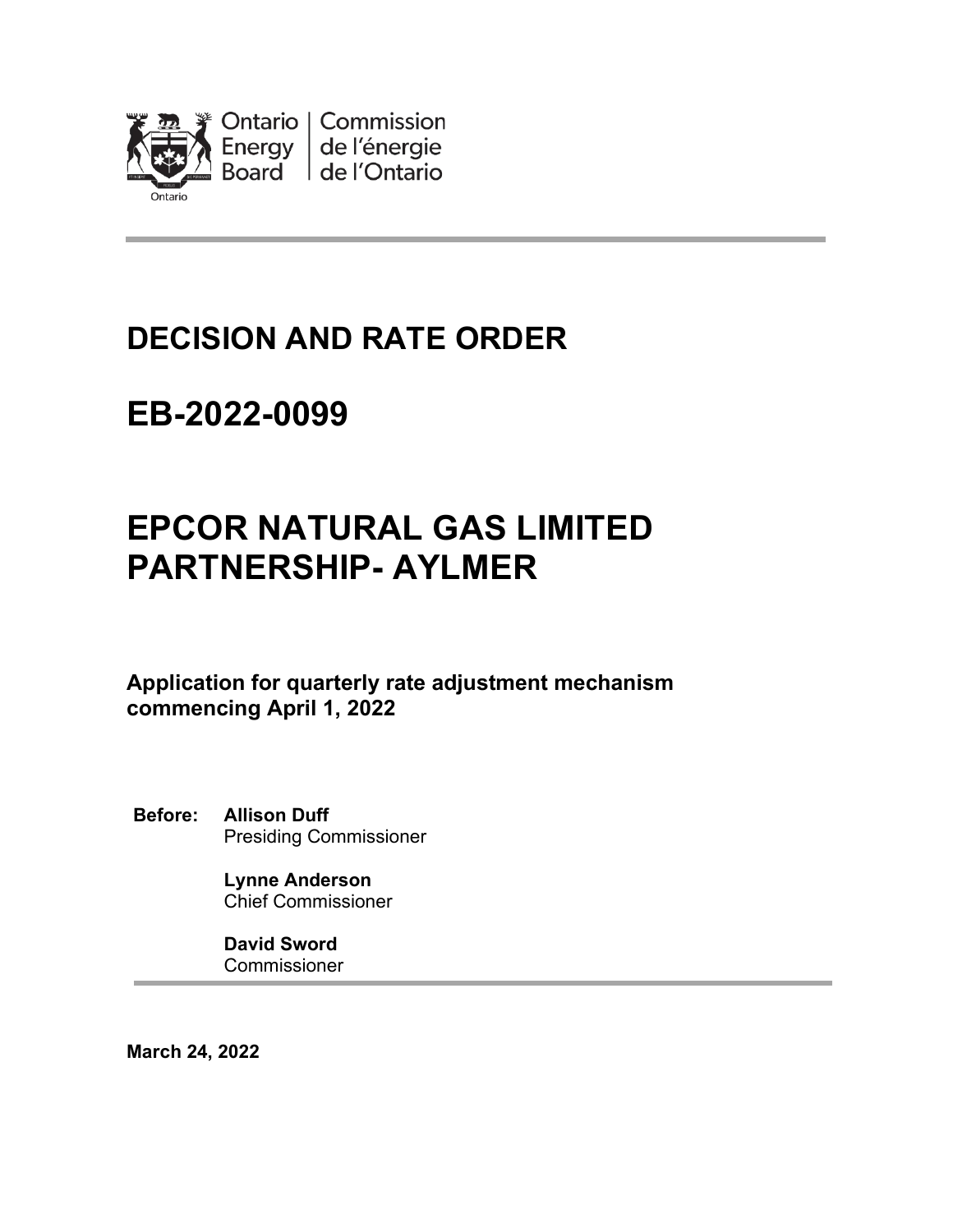

# **DECISION AND RATE ORDER**

# **EB-2022-0099**

# **EPCOR NATURAL GAS LIMITED PARTNERSHIP- AYLMER**

**Application for quarterly rate adjustment mechanism commencing April 1, 2022** 

**Before: Allison Duff** Presiding Commissioner

> **Lynne Anderson** Chief Commissioner

**David Sword** Commissioner

**March 24, 2022**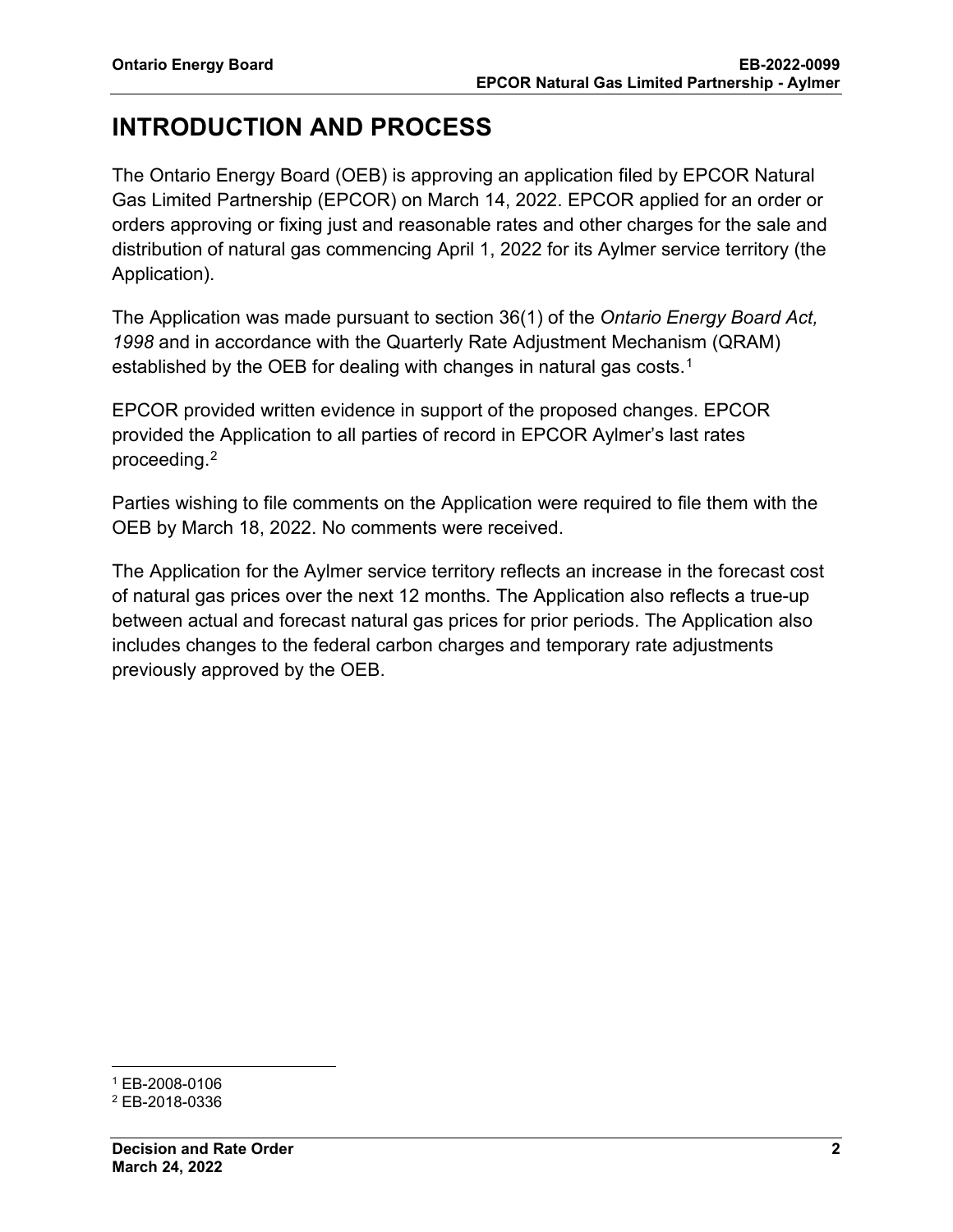# **INTRODUCTION AND PROCESS**

The Ontario Energy Board (OEB) is approving an application filed by EPCOR Natural Gas Limited Partnership (EPCOR) on March 14, 2022. EPCOR applied for an order or orders approving or fixing just and reasonable rates and other charges for the sale and distribution of natural gas commencing April 1, 2022 for its Aylmer service territory (the Application).

The Application was made pursuant to section 36(1) of the *Ontario Energy Board Act, 1998* and in accordance with the Quarterly Rate Adjustment Mechanism (QRAM) established by the OEB for dealing with changes in natural gas costs.<sup>[1](#page-1-0)</sup>

EPCOR provided written evidence in support of the proposed changes. EPCOR provided the Application to all parties of record in EPCOR Aylmer's last rates proceeding.[2](#page-1-1) 

Parties wishing to file comments on the Application were required to file them with the OEB by March 18, 2022. No comments were received.

The Application for the Aylmer service territory reflects an increase in the forecast cost of natural gas prices over the next 12 months. The Application also reflects a true-up between actual and forecast natural gas prices for prior periods. The Application also includes changes to the federal carbon charges and temporary rate adjustments previously approved by the OEB.

<span id="page-1-0"></span><sup>1</sup> EB-2008-0106

<span id="page-1-1"></span><sup>2</sup> EB-2018-0336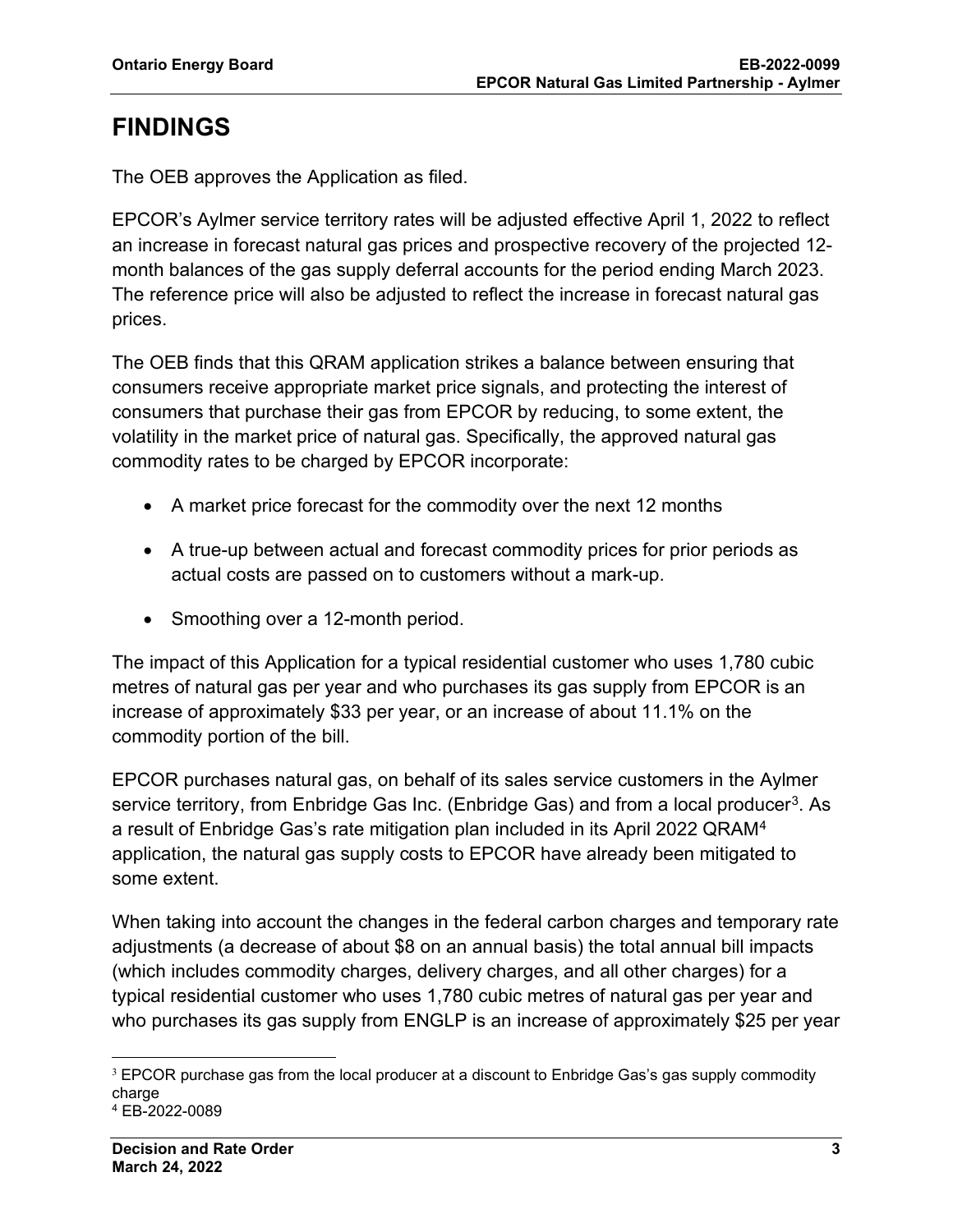# **FINDINGS**

The OEB approves the Application as filed.

EPCOR's Aylmer service territory rates will be adjusted effective April 1, 2022 to reflect an increase in forecast natural gas prices and prospective recovery of the projected 12 month balances of the gas supply deferral accounts for the period ending March 2023. The reference price will also be adjusted to reflect the increase in forecast natural gas prices.

The OEB finds that this QRAM application strikes a balance between ensuring that consumers receive appropriate market price signals, and protecting the interest of consumers that purchase their gas from EPCOR by reducing, to some extent, the volatility in the market price of natural gas. Specifically, the approved natural gas commodity rates to be charged by EPCOR incorporate:

- A market price forecast for the commodity over the next 12 months
- A true-up between actual and forecast commodity prices for prior periods as actual costs are passed on to customers without a mark-up.
- Smoothing over a 12-month period.

The impact of this Application for a typical residential customer who uses 1,780 cubic metres of natural gas per year and who purchases its gas supply from EPCOR is an increase of approximately \$33 per year, or an increase of about 11.1% on the commodity portion of the bill.

EPCOR purchases natural gas, on behalf of its sales service customers in the Aylmer service territory, from Enbridge Gas Inc. (Enbridge Gas) and from a local producer<sup>[3](#page-2-0)</sup>. As a result of Enbridge Gas's rate mitigation plan included in its April 2022 QRAM[4](#page-2-1) application, the natural gas supply costs to EPCOR have already been mitigated to some extent.

When taking into account the changes in the federal carbon charges and temporary rate adjustments (a decrease of about \$8 on an annual basis) the total annual bill impacts (which includes commodity charges, delivery charges, and all other charges) for a typical residential customer who uses 1,780 cubic metres of natural gas per year and who purchases its gas supply from ENGLP is an increase of approximately \$25 per year

<span id="page-2-0"></span><sup>&</sup>lt;sup>3</sup> EPCOR purchase gas from the local producer at a discount to Enbridge Gas's gas supply commodity charge

<span id="page-2-1"></span><sup>4</sup> EB-2022-0089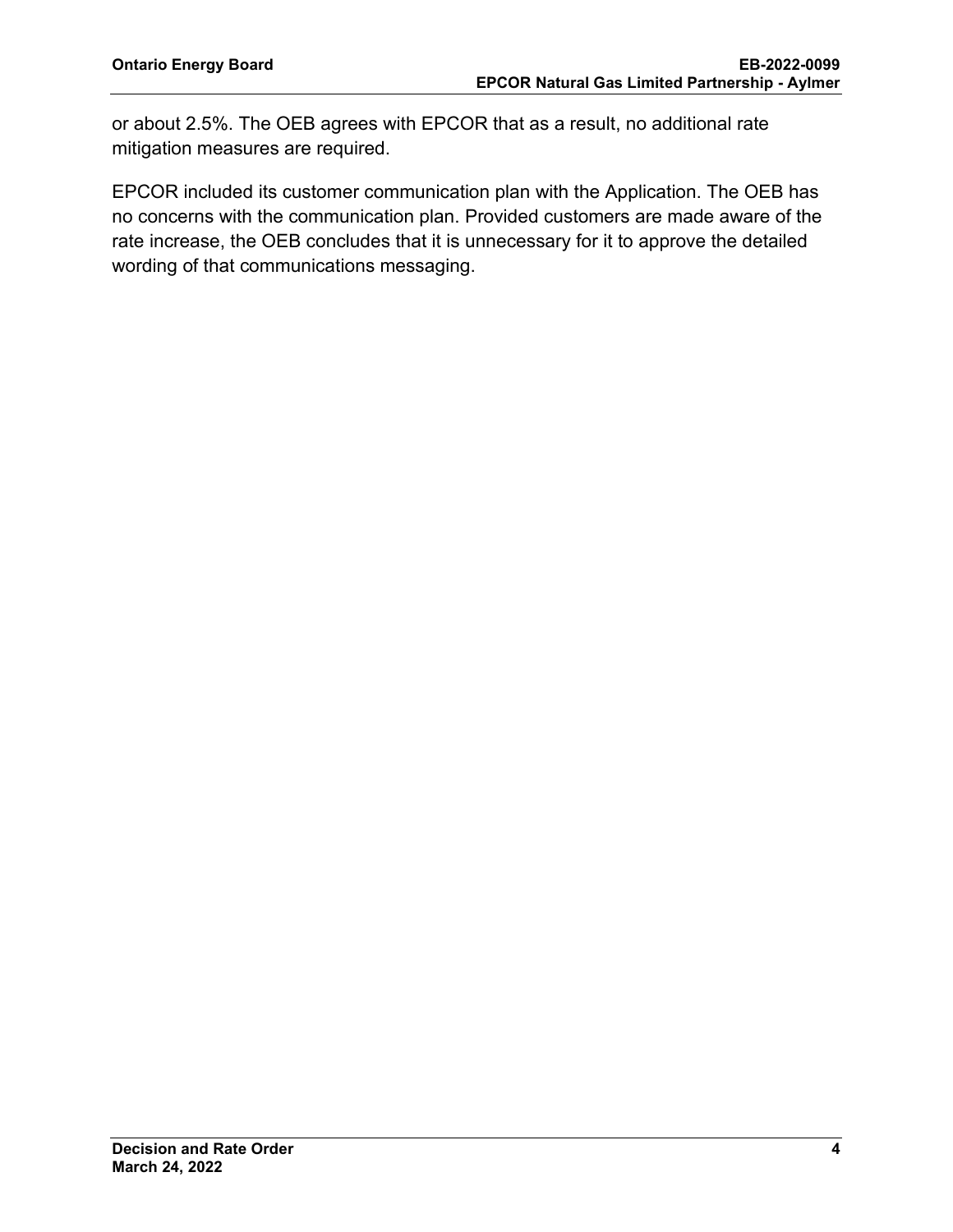or about 2.5%. The OEB agrees with EPCOR that as a result, no additional rate mitigation measures are required.

EPCOR included its customer communication plan with the Application. The OEB has no concerns with the communication plan. Provided customers are made aware of the rate increase, the OEB concludes that it is unnecessary for it to approve the detailed wording of that communications messaging.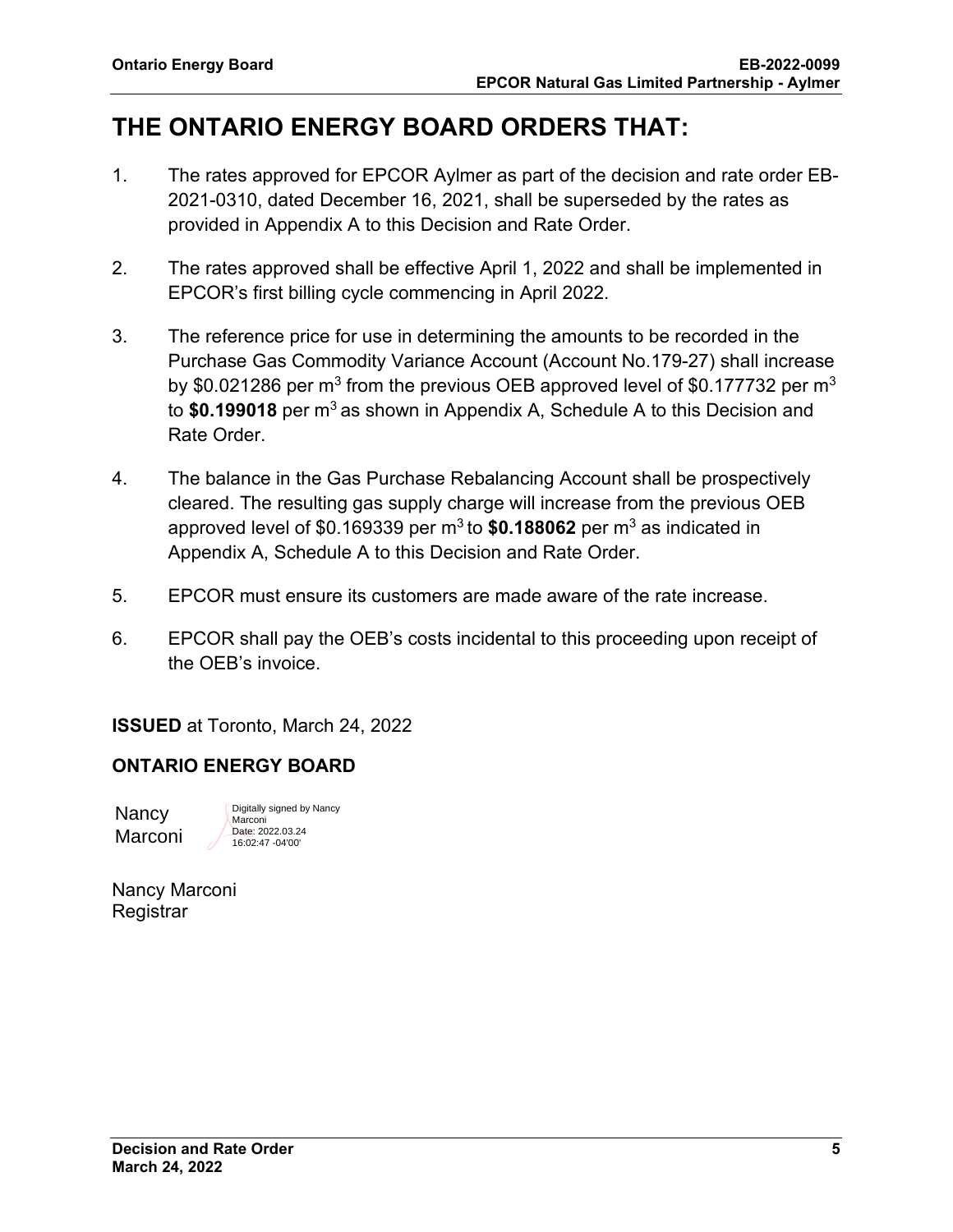# **THE ONTARIO ENERGY BOARD ORDERS THAT:**

- 1. The rates approved for EPCOR Aylmer as part of the decision and rate order EB-2021-0310, dated December 16, 2021, shall be superseded by the rates as provided in Appendix A to this Decision and Rate Order.
- 2. The rates approved shall be effective April 1, 2022 and shall be implemented in EPCOR's first billing cycle commencing in April 2022.
- 3. The reference price for use in determining the amounts to be recorded in the Purchase Gas Commodity Variance Account (Account No.179-27) shall increase by \$0.021286 per m<sup>3</sup> from the previous OEB approved level of \$0.177732 per m<sup>3</sup> to \$0.199018 per m<sup>3</sup> as shown in Appendix A, Schedule A to this Decision and Rate Order.
- 4. The balance in the Gas Purchase Rebalancing Account shall be prospectively cleared. The resulting gas supply charge will increase from the previous OEB approved level of \$0.169339 per m<sup>3</sup> to \$0.188062 per m<sup>3</sup> as indicated in Appendix A, Schedule A to this Decision and Rate Order.
- 5. EPCOR must ensure its customers are made aware of the rate increase.
- 6. EPCOR shall pay the OEB's costs incidental to this proceeding upon receipt of the OEB's invoice.

**ISSUED** at Toronto, March 24, 2022

# **ONTARIO ENERGY BOARD**

**Nancy** Marconi Digitally signed by Nancy Marconi Date: 2022.03.24 16:02:47 -04'00'

Nancy Marconi Registrar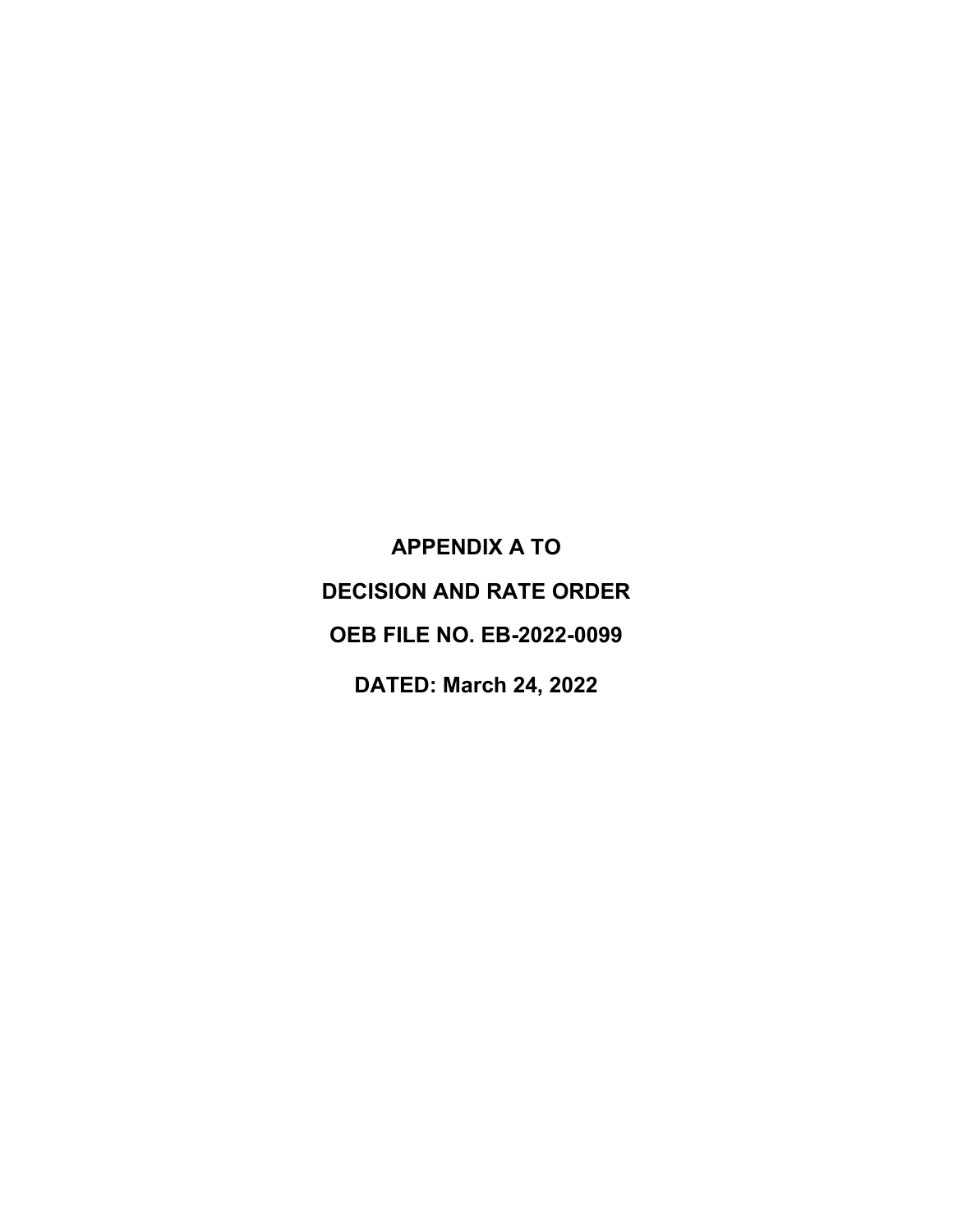**APPENDIX A TO DECISION AND RATE ORDER OEB FILE NO. EB-2022-0099 DATED: March 24, 2022**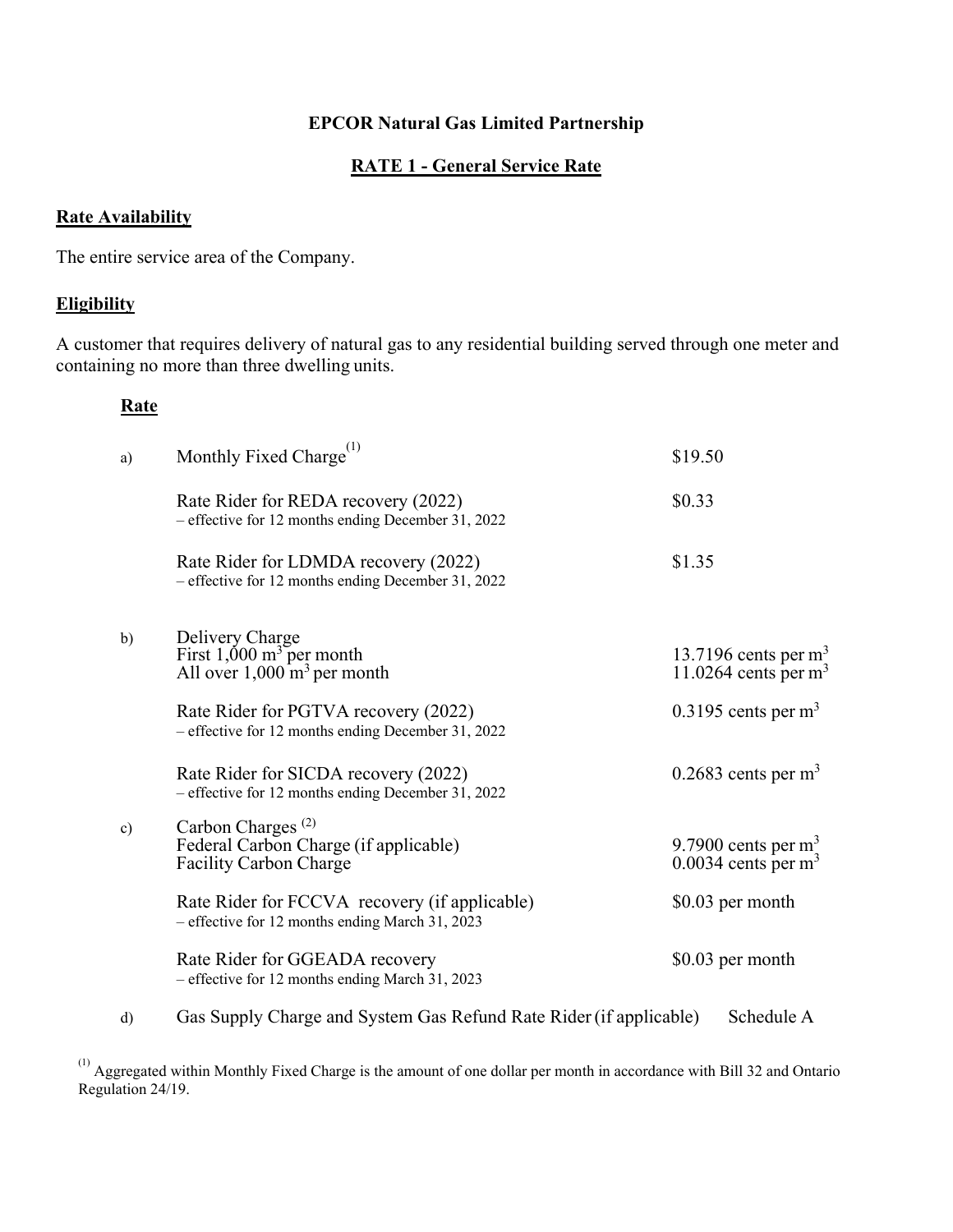#### **RATE 1 - General Service Rate**

#### **Rate Availability**

The entire service area of the Company.

#### **Eligibility**

A customer that requires delivery of natural gas to any residential building served through one meter and containing no more than three dwelling units.

#### **Rate**

| a)            | Monthly Fixed Charge <sup>(1)</sup>                                                                     | \$19.50                                                    |
|---------------|---------------------------------------------------------------------------------------------------------|------------------------------------------------------------|
|               | Rate Rider for REDA recovery (2022)<br>- effective for 12 months ending December 31, 2022               | \$0.33                                                     |
|               | Rate Rider for LDMDA recovery (2022)<br>- effective for 12 months ending December 31, 2022              | \$1.35                                                     |
| b)            | Delivery Charge<br>First 1,000 $m^3$ per month<br>All over $1,000 \text{ m}^3$ per month                | 13.7196 cents per $m3$<br>11.0264 cents per $m3$           |
|               | Rate Rider for PGTVA recovery (2022)<br>- effective for 12 months ending December 31, 2022              | $0.3195$ cents per m <sup>3</sup>                          |
|               | Rate Rider for SICDA recovery (2022)<br>- effective for 12 months ending December 31, 2022              | $0.2683$ cents per m <sup>3</sup>                          |
| $\mathbf{c})$ | Carbon Charges <sup>(2)</sup><br>Federal Carbon Charge (if applicable)<br><b>Facility Carbon Charge</b> | 9.7900 cents per $m3$<br>$0.0034$ cents per m <sup>3</sup> |
|               | Rate Rider for FCCVA recovery (if applicable)<br>- effective for 12 months ending March 31, 2023        | \$0.03 per month                                           |
|               | Rate Rider for GGEADA recovery<br>- effective for 12 months ending March 31, 2023                       | \$0.03 per month                                           |
| d)            | Gas Supply Charge and System Gas Refund Rate Rider (if applicable)                                      | Schedule A                                                 |

 $(1)$  Aggregated within Monthly Fixed Charge is the amount of one dollar per month in accordance with Bill 32 and Ontario Regulation 24/19.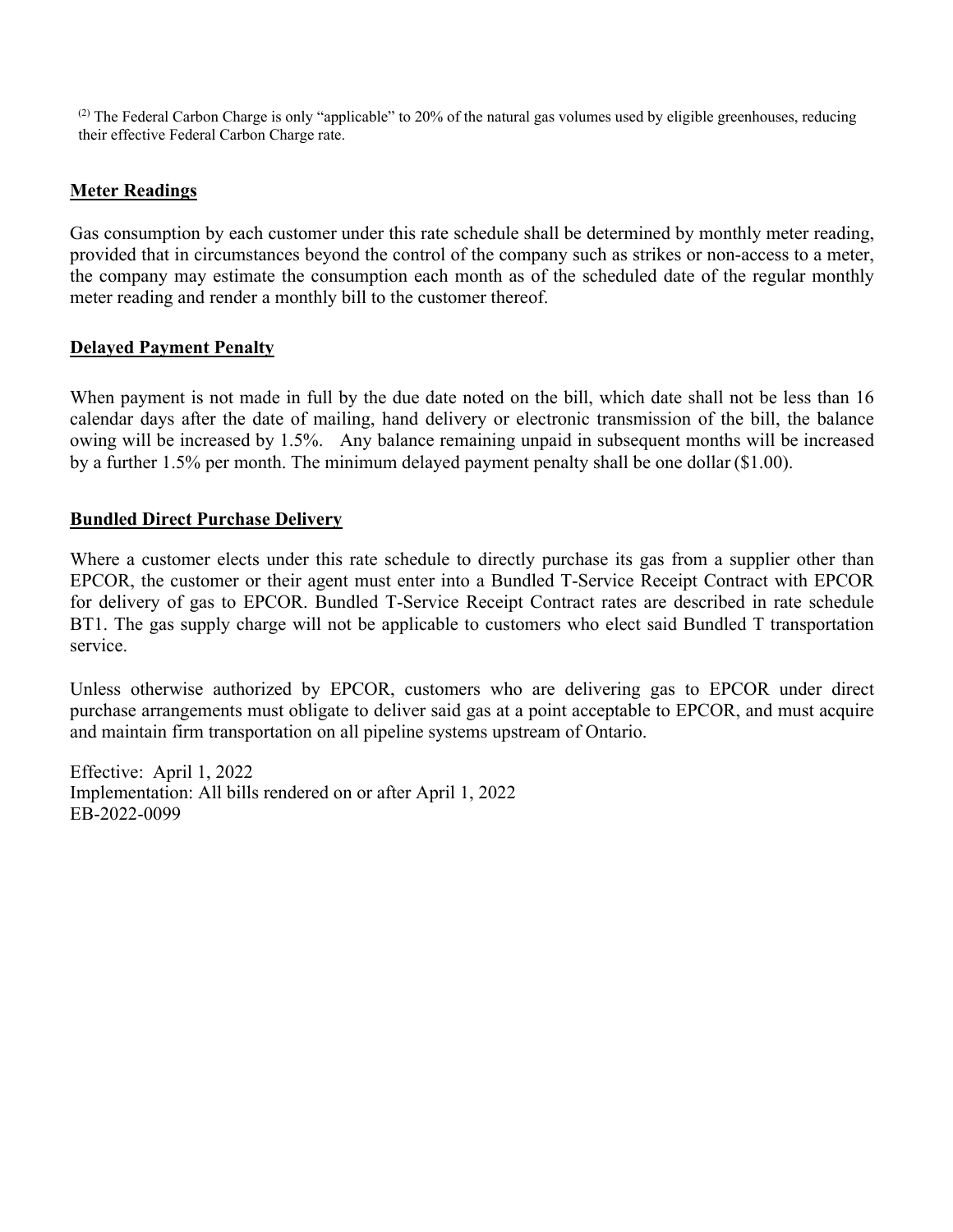$<sup>(2)</sup>$  The Federal Carbon Charge is only "applicable" to 20% of the natural gas volumes used by eligible greenhouses, reducing</sup> their effective Federal Carbon Charge rate.

#### **Meter Readings**

Gas consumption by each customer under this rate schedule shall be determined by monthly meter reading, provided that in circumstances beyond the control of the company such as strikes or non-access to a meter, the company may estimate the consumption each month as of the scheduled date of the regular monthly meter reading and render a monthly bill to the customer thereof.

#### **Delayed Payment Penalty**

When payment is not made in full by the due date noted on the bill, which date shall not be less than 16 calendar days after the date of mailing, hand delivery or electronic transmission of the bill, the balance owing will be increased by 1.5%. Any balance remaining unpaid in subsequent months will be increased by a further 1.5% per month. The minimum delayed payment penalty shall be one dollar (\$1.00).

#### **Bundled Direct Purchase Delivery**

Where a customer elects under this rate schedule to directly purchase its gas from a supplier other than EPCOR, the customer or their agent must enter into a Bundled T-Service Receipt Contract with EPCOR for delivery of gas to EPCOR. Bundled T-Service Receipt Contract rates are described in rate schedule BT1. The gas supply charge will not be applicable to customers who elect said Bundled T transportation service.

Unless otherwise authorized by EPCOR, customers who are delivering gas to EPCOR under direct purchase arrangements must obligate to deliver said gas at a point acceptable to EPCOR, and must acquire and maintain firm transportation on all pipeline systems upstream of Ontario.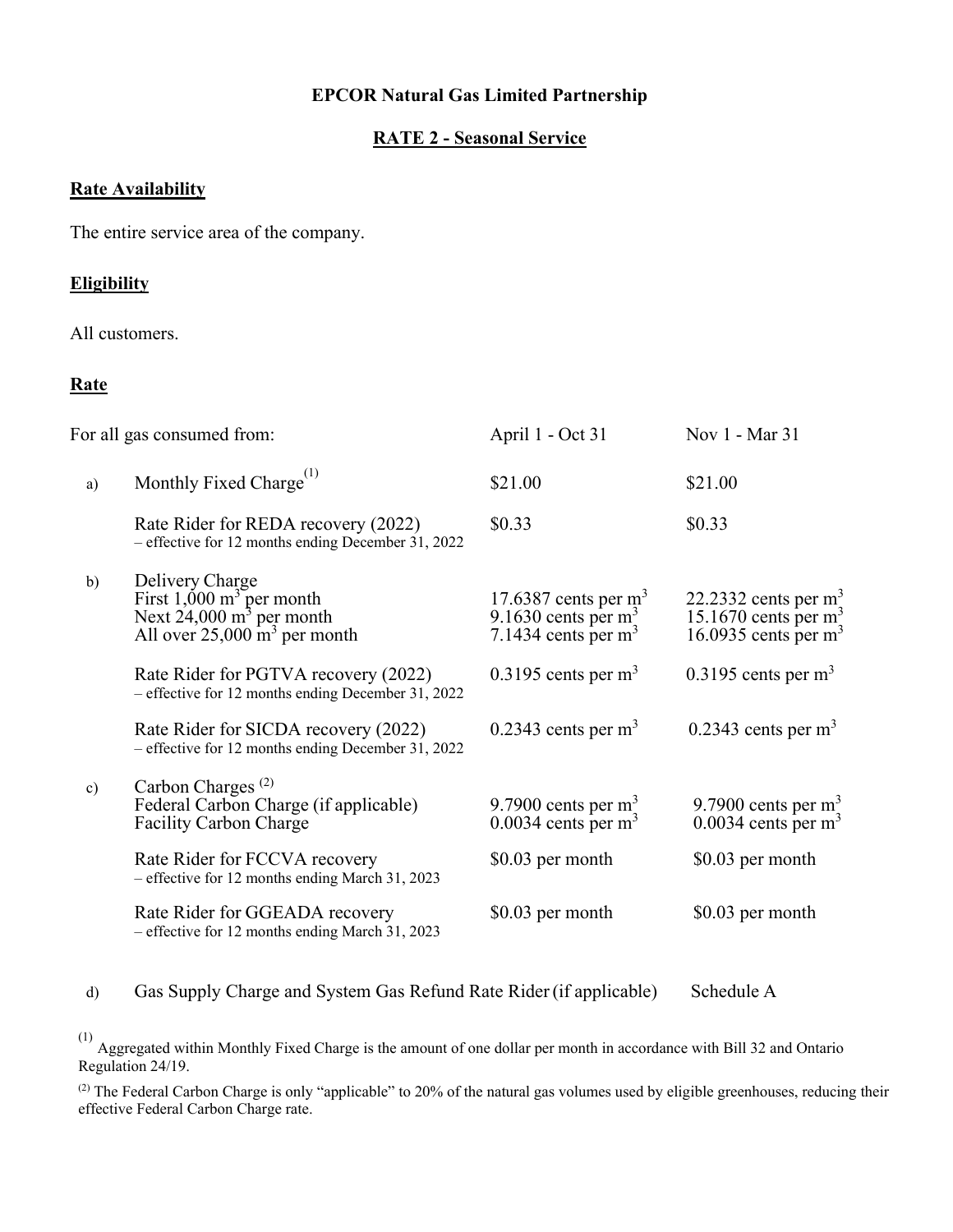#### **RATE 2 - Seasonal Service**

### **Rate Availability**

The entire service area of the company.

#### **Eligibility**

All customers.

#### **Rate**

| For all gas consumed from: |                                                                                                                                          | April 1 - Oct 31                                                            | Nov 1 - Mar 31                                                                |
|----------------------------|------------------------------------------------------------------------------------------------------------------------------------------|-----------------------------------------------------------------------------|-------------------------------------------------------------------------------|
| a)                         | Monthly Fixed Charge <sup>(1)</sup>                                                                                                      | \$21.00                                                                     | \$21.00                                                                       |
|                            | Rate Rider for REDA recovery (2022)<br>- effective for 12 months ending December 31, 2022                                                | \$0.33                                                                      | \$0.33                                                                        |
| b)                         | Delivery Charge<br>First $1,000 \text{ m}^3$ per month<br>Next $24,000 \text{ m}^3$ per month<br>All over $25,000 \text{ m}^3$ per month | 17.6387 cents per $m3$<br>9.1630 cents per $m_2^3$<br>7.1434 cents per $m3$ | 22.2332 cents per $m3$<br>15.1670 cents per $m_2^3$<br>16.0935 cents per $m3$ |
|                            | Rate Rider for PGTVA recovery (2022)<br>- effective for 12 months ending December 31, 2022                                               | $0.3195$ cents per m <sup>3</sup>                                           | $0.3195$ cents per m <sup>3</sup>                                             |
|                            | Rate Rider for SICDA recovery (2022)<br>- effective for 12 months ending December 31, 2022                                               | $0.2343$ cents per m <sup>3</sup>                                           | $0.2343$ cents per m <sup>3</sup>                                             |
| $\circ$ )                  | Carbon Charges <sup>(2)</sup><br>Federal Carbon Charge (if applicable)<br><b>Facility Carbon Charge</b>                                  | 9.7900 cents per $m3$<br>$0.0034$ cents per m <sup>3</sup>                  | 9.7900 cents per $m3$<br>$0.0034$ cents per m <sup>3</sup>                    |
|                            | Rate Rider for FCCVA recovery<br>- effective for 12 months ending March 31, 2023                                                         | \$0.03 per month                                                            | \$0.03 per month                                                              |
|                            | Rate Rider for GGEADA recovery<br>- effective for 12 months ending March 31, 2023                                                        | \$0.03 per month                                                            | \$0.03 per month                                                              |

# d) Gas Supply Charge and System Gas Refund Rate Rider (if applicable) Schedule A

 $(1)$  Aggregated within Monthly Fixed Charge is the amount of one dollar per month in accordance with Bill 32 and Ontario Regulation 24/19.

(2) The Federal Carbon Charge is only "applicable" to 20% of the natural gas volumes used by eligible greenhouses, reducing their effective Federal Carbon Charge rate.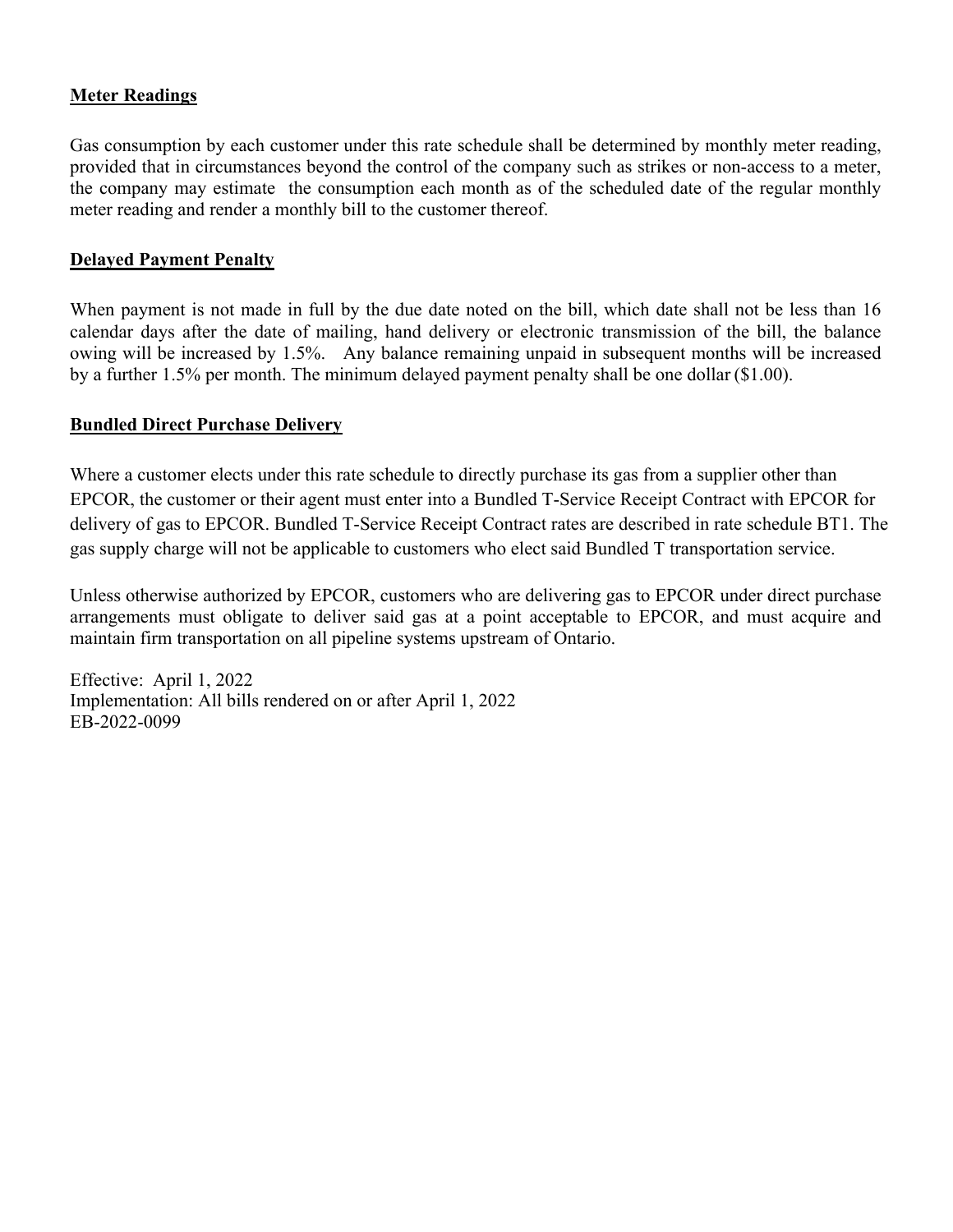### **Meter Readings**

Gas consumption by each customer under this rate schedule shall be determined by monthly meter reading, provided that in circumstances beyond the control of the company such as strikes or non-access to a meter, the company may estimate the consumption each month as of the scheduled date of the regular monthly meter reading and render a monthly bill to the customer thereof.

# **Delayed Payment Penalty**

When payment is not made in full by the due date noted on the bill, which date shall not be less than 16 calendar days after the date of mailing, hand delivery or electronic transmission of the bill, the balance owing will be increased by 1.5%. Any balance remaining unpaid in subsequent months will be increased by a further 1.5% per month. The minimum delayed payment penalty shall be one dollar (\$1.00).

### **Bundled Direct Purchase Delivery**

Where a customer elects under this rate schedule to directly purchase its gas from a supplier other than EPCOR, the customer or their agent must enter into a Bundled T-Service Receipt Contract with EPCOR for delivery of gas to EPCOR. Bundled T-Service Receipt Contract rates are described in rate schedule BT1. The gas supply charge will not be applicable to customers who elect said Bundled T transportation service.

Unless otherwise authorized by EPCOR, customers who are delivering gas to EPCOR under direct purchase arrangements must obligate to deliver said gas at a point acceptable to EPCOR, and must acquire and maintain firm transportation on all pipeline systems upstream of Ontario.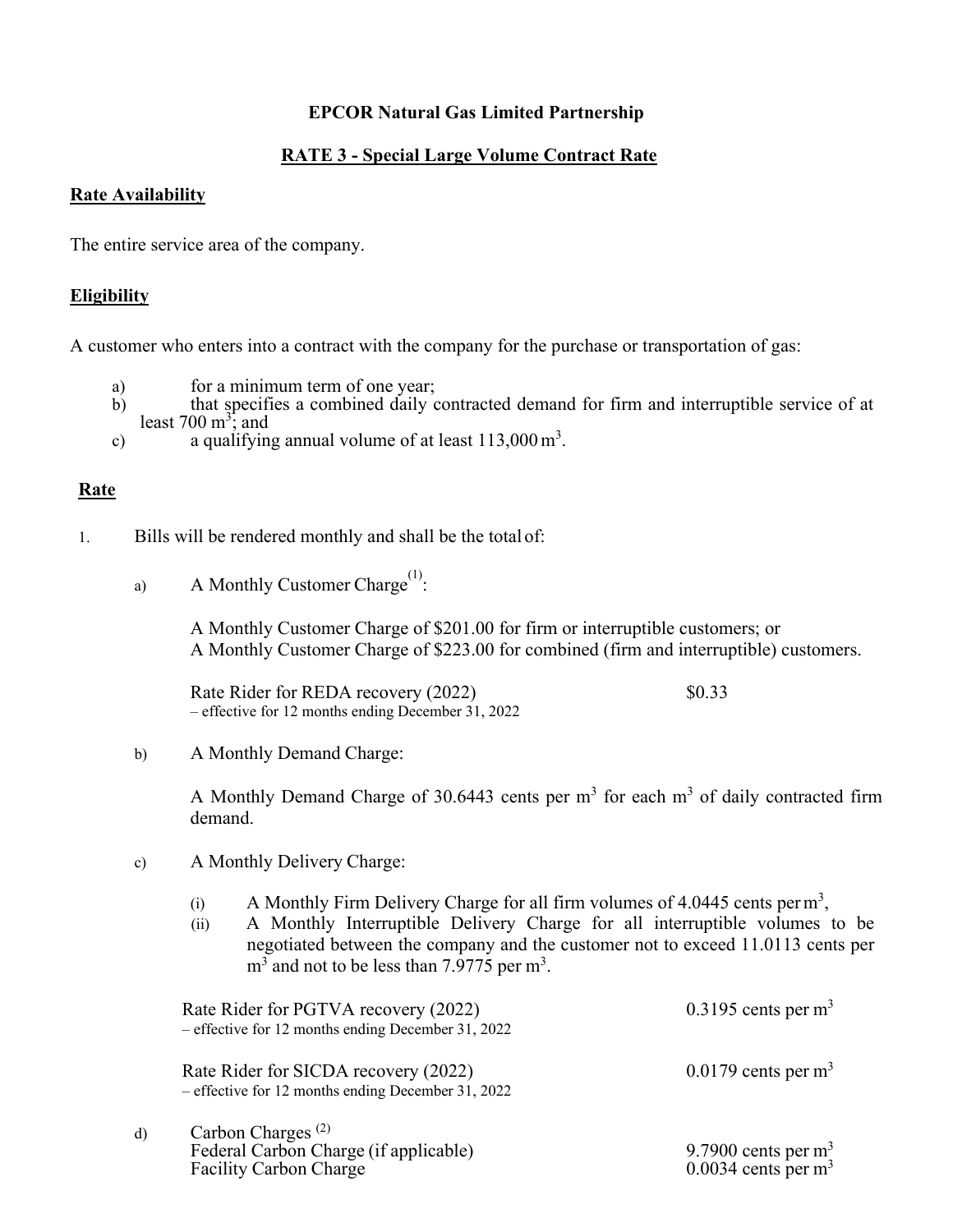# **RATE 3 - Special Large Volume Contract Rate**

#### **Rate Availability**

The entire service area of the company.

#### **Eligibility**

A customer who enters into a contract with the company for the purchase or transportation of gas:

- a) for a minimum term of one year;
- b) that specifies a combined daily contracted demand for firm and interruptible service of at least  $700 \text{ m}^3$ ; and
- c) a qualifying annual volume of at least  $113,000 \,\mathrm{m}^3$ .

#### **Rate**

- 1. Bills will be rendered monthly and shall be the total of:
	- a) A Monthly Customer Charge<sup>(1)</sup>:

A Monthly Customer Charge of \$201.00 for firm or interruptible customers; or A Monthly Customer Charge of \$223.00 for combined (firm and interruptible) customers.

Rate Rider for REDA recovery (2022) \$0.33 – effective for 12 months ending December 31, 2022

b) A Monthly Demand Charge:

A Monthly Demand Charge of 30.6443 cents per  $m<sup>3</sup>$  for each  $m<sup>3</sup>$  of daily contracted firm demand.

- c) A Monthly Delivery Charge:
	- (i) A Monthly Firm Delivery Charge for all firm volumes of 4.0445 cents per  $m<sup>3</sup>$ ,
	- (ii) A Monthly Interruptible Delivery Charge for all interruptible volumes to be negotiated between the company and the customer not to exceed 11.0113 cents per  $m<sup>3</sup>$  and not to be less than 7.9775 per  $m<sup>3</sup>$ .

|    | Rate Rider for PGTVA recovery (2022)<br>- effective for 12 months ending December 31, 2022                    | $0.3195$ cents per m <sup>3</sup>           |
|----|---------------------------------------------------------------------------------------------------------------|---------------------------------------------|
|    | Rate Rider for SICDA recovery (2022)<br>- effective for 12 months ending December 31, 2022                    | $0.0179$ cents per m <sup>3</sup>           |
| d) | Carbon Charges <sup><math>(2)</math></sup><br>Federal Carbon Charge (if applicable)<br>Facility Carbon Charge | 9.7900 cents per $m3$ 0.0034 cents per $m3$ |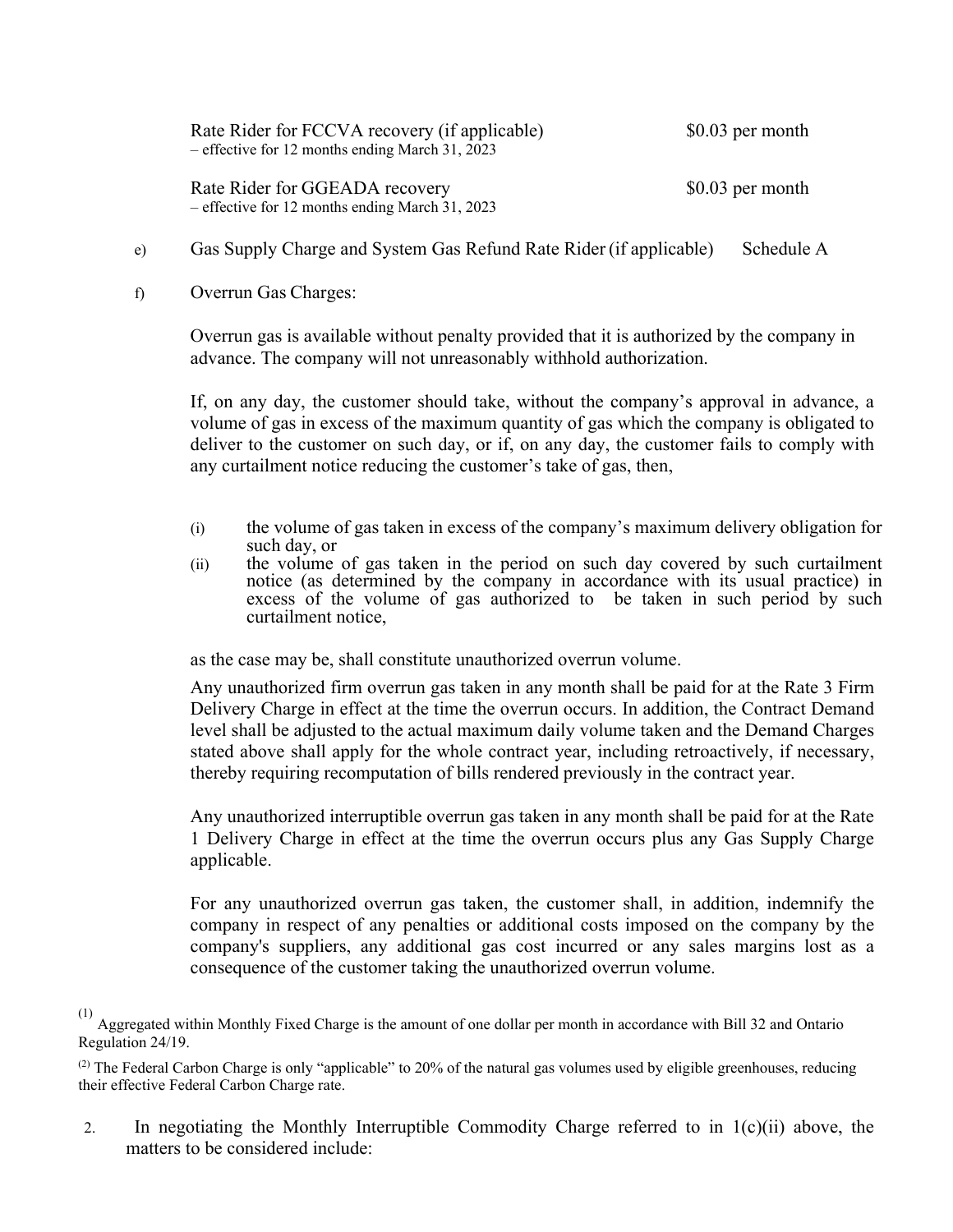| Rate Rider for FCCVA recovery (if applicable)<br>- effective for 12 months ending March 31, 2023 | $$0.03$ per month |
|--------------------------------------------------------------------------------------------------|-------------------|
| Rate Rider for GGEADA recovery<br>- effective for 12 months ending March 31, 2023                | $$0.03$ per month |

#### e) Gas Supply Charge and System Gas Refund Rate Rider (if applicable) Schedule A

#### f) Overrun Gas Charges:

Overrun gas is available without penalty provided that it is authorized by the company in advance. The company will not unreasonably withhold authorization.

If, on any day, the customer should take, without the company's approval in advance, a volume of gas in excess of the maximum quantity of gas which the company is obligated to deliver to the customer on such day, or if, on any day, the customer fails to comply with any curtailment notice reducing the customer's take of gas, then,

- (i) the volume of gas taken in excess of the company's maximum delivery obligation for such day, or
- (ii) the volume of gas taken in the period on such day covered by such curtailment notice (as determined by the company in accordance with its usual practice) in excess of the volume of gas authorized to be taken in such period by such curtailment notice,

as the case may be, shall constitute unauthorized overrun volume.

Any unauthorized firm overrun gas taken in any month shall be paid for at the Rate 3 Firm Delivery Charge in effect at the time the overrun occurs. In addition, the Contract Demand level shall be adjusted to the actual maximum daily volume taken and the Demand Charges stated above shall apply for the whole contract year, including retroactively, if necessary, thereby requiring recomputation of bills rendered previously in the contract year.

Any unauthorized interruptible overrun gas taken in any month shall be paid for at the Rate 1 Delivery Charge in effect at the time the overrun occurs plus any Gas Supply Charge applicable.

For any unauthorized overrun gas taken, the customer shall, in addition, indemnify the company in respect of any penalties or additional costs imposed on the company by the company's suppliers, any additional gas cost incurred or any sales margins lost as a consequence of the customer taking the unauthorized overrun volume.

(1)

Aggregated within Monthly Fixed Charge is the amount of one dollar per month in accordance with Bill 32 and Ontario Regulation 24/19.

 $^{(2)}$  The Federal Carbon Charge is only "applicable" to 20% of the natural gas volumes used by eligible greenhouses, reducing their effective Federal Carbon Charge rate.

2. In negotiating the Monthly Interruptible Commodity Charge referred to in  $1(c)(ii)$  above, the matters to be considered include: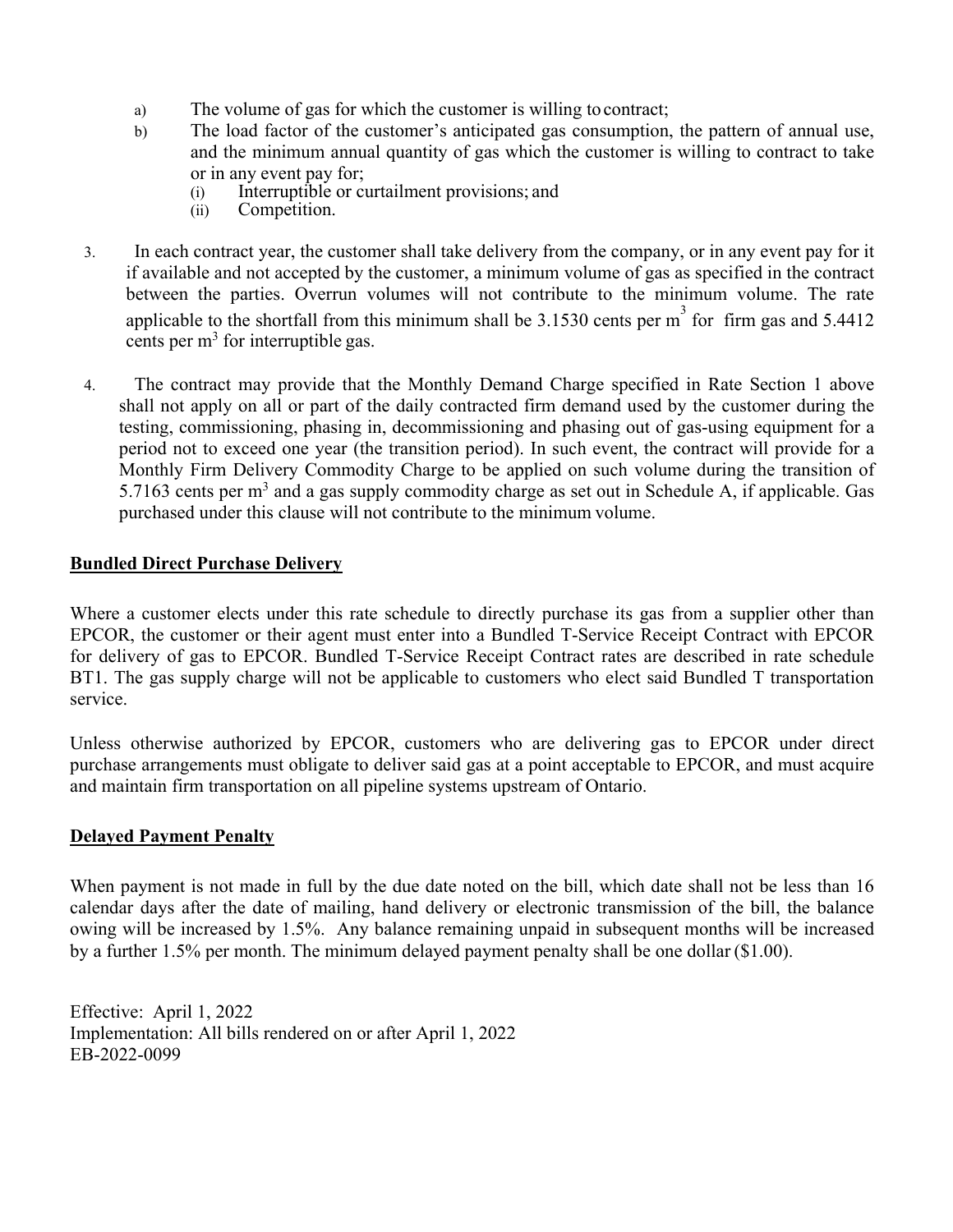- a) The volume of gas for which the customer is willing to contract;
- b) The load factor of the customer's anticipated gas consumption, the pattern of annual use, and the minimum annual quantity of gas which the customer is willing to contract to take or in any event pay for;
	- (i) Interruptible or curtailment provisions; and
	- (ii) Competition.
- 3. In each contract year, the customer shall take delivery from the company, or in any event pay for it if available and not accepted by the customer, a minimum volume of gas as specified in the contract between the parties. Overrun volumes will not contribute to the minimum volume. The rate applicable to the shortfall from this minimum shall be 3.1530 cents per  $m<sup>3</sup>$  for firm gas and 5.4412 cents per  $m<sup>3</sup>$  for interruptible gas.
- 4. The contract may provide that the Monthly Demand Charge specified in Rate Section 1 above shall not apply on all or part of the daily contracted firm demand used by the customer during the testing, commissioning, phasing in, decommissioning and phasing out of gas-using equipment for a period not to exceed one year (the transition period). In such event, the contract will provide for a Monthly Firm Delivery Commodity Charge to be applied on such volume during the transition of 5.7163 cents per  $m<sup>3</sup>$  and a gas supply commodity charge as set out in Schedule A, if applicable. Gas purchased under this clause will not contribute to the minimum volume.

#### **Bundled Direct Purchase Delivery**

Where a customer elects under this rate schedule to directly purchase its gas from a supplier other than EPCOR, the customer or their agent must enter into a Bundled T-Service Receipt Contract with EPCOR for delivery of gas to EPCOR. Bundled T-Service Receipt Contract rates are described in rate schedule BT1. The gas supply charge will not be applicable to customers who elect said Bundled T transportation service.

Unless otherwise authorized by EPCOR, customers who are delivering gas to EPCOR under direct purchase arrangements must obligate to deliver said gas at a point acceptable to EPCOR, and must acquire and maintain firm transportation on all pipeline systems upstream of Ontario.

#### **Delayed Payment Penalty**

When payment is not made in full by the due date noted on the bill, which date shall not be less than 16 calendar days after the date of mailing, hand delivery or electronic transmission of the bill, the balance owing will be increased by 1.5%. Any balance remaining unpaid in subsequent months will be increased by a further 1.5% per month. The minimum delayed payment penalty shall be one dollar (\$1.00).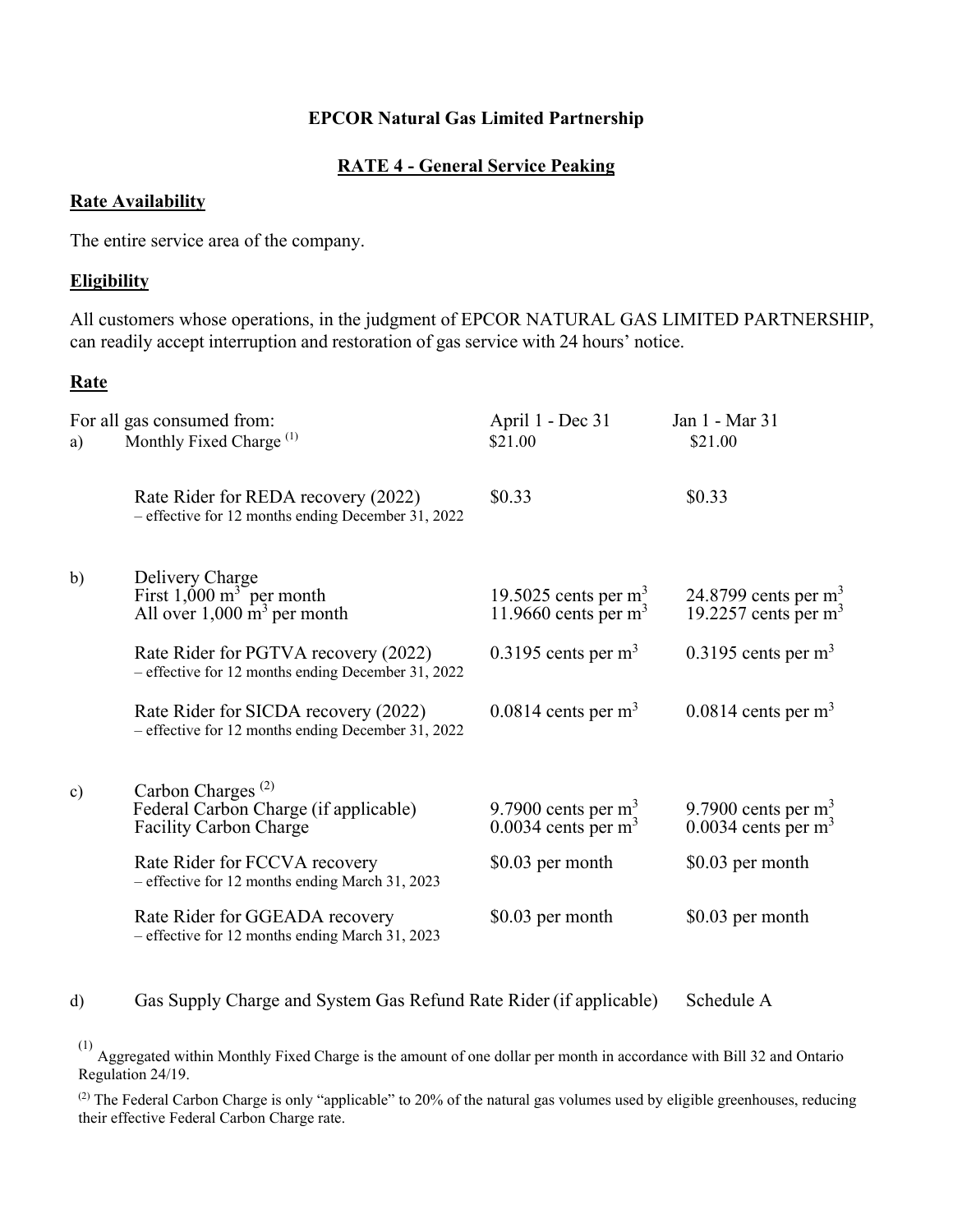#### **RATE 4 - General Service Peaking**

#### **Rate Availability**

The entire service area of the company.

#### **Eligibility**

All customers whose operations, in the judgment of EPCOR NATURAL GAS LIMITED PARTNERSHIP, can readily accept interruption and restoration of gas service with 24 hours' notice.

#### **Rate**

| a)            | For all gas consumed from:<br>Monthly Fixed Charge <sup>(1)</sup>                                                    | April 1 - Dec 31<br>\$21.00                                | Jan 1 - Mar 31<br>\$21.00                                  |
|---------------|----------------------------------------------------------------------------------------------------------------------|------------------------------------------------------------|------------------------------------------------------------|
|               | Rate Rider for REDA recovery (2022)<br>- effective for 12 months ending December 31, 2022                            | \$0.33                                                     | \$0.33                                                     |
| b)            | Delivery Charge<br>First $1,000 \text{ m}^3$ per month<br>All over $1,000 \text{ m}^3$ per month                     | 19.5025 cents per $m3$<br>11.9660 cents per $m3$           | 24.8799 cents per $m3$<br>19.2257 cents per $m3$           |
|               | Rate Rider for PGTVA recovery (2022)<br>- effective for 12 months ending December 31, 2022                           | $0.3195$ cents per m <sup>3</sup>                          | $0.3195$ cents per m <sup>3</sup>                          |
|               | Rate Rider for SICDA recovery (2022)<br>- effective for 12 months ending December 31, 2022                           | $0.0814$ cents per m <sup>3</sup>                          | $0.0814$ cents per m <sup>3</sup>                          |
| $\mathbf{c})$ | Carbon Charges <sup><math>(2)</math></sup><br>Federal Carbon Charge (if applicable)<br><b>Facility Carbon Charge</b> | 9.7900 cents per $m3$<br>$0.0034$ cents per m <sup>3</sup> | 9.7900 cents per $m3$<br>$0.0034$ cents per m <sup>3</sup> |
|               | Rate Rider for FCCVA recovery<br>- effective for 12 months ending March 31, 2023                                     | \$0.03 per month                                           | \$0.03 per month                                           |
|               | Rate Rider for GGEADA recovery<br>- effective for 12 months ending March 31, 2023                                    | \$0.03 per month                                           | \$0.03 per month                                           |

#### d) Gas Supply Charge and System Gas Refund Rate Rider (if applicable) Schedule A

 $\alpha^{(1)}$  Aggregated within Monthly Fixed Charge is the amount of one dollar per month in accordance with Bill 32 and Ontario Regulation 24/19.

(2) The Federal Carbon Charge is only "applicable" to 20% of the natural gas volumes used by eligible greenhouses, reducing their effective Federal Carbon Charge rate.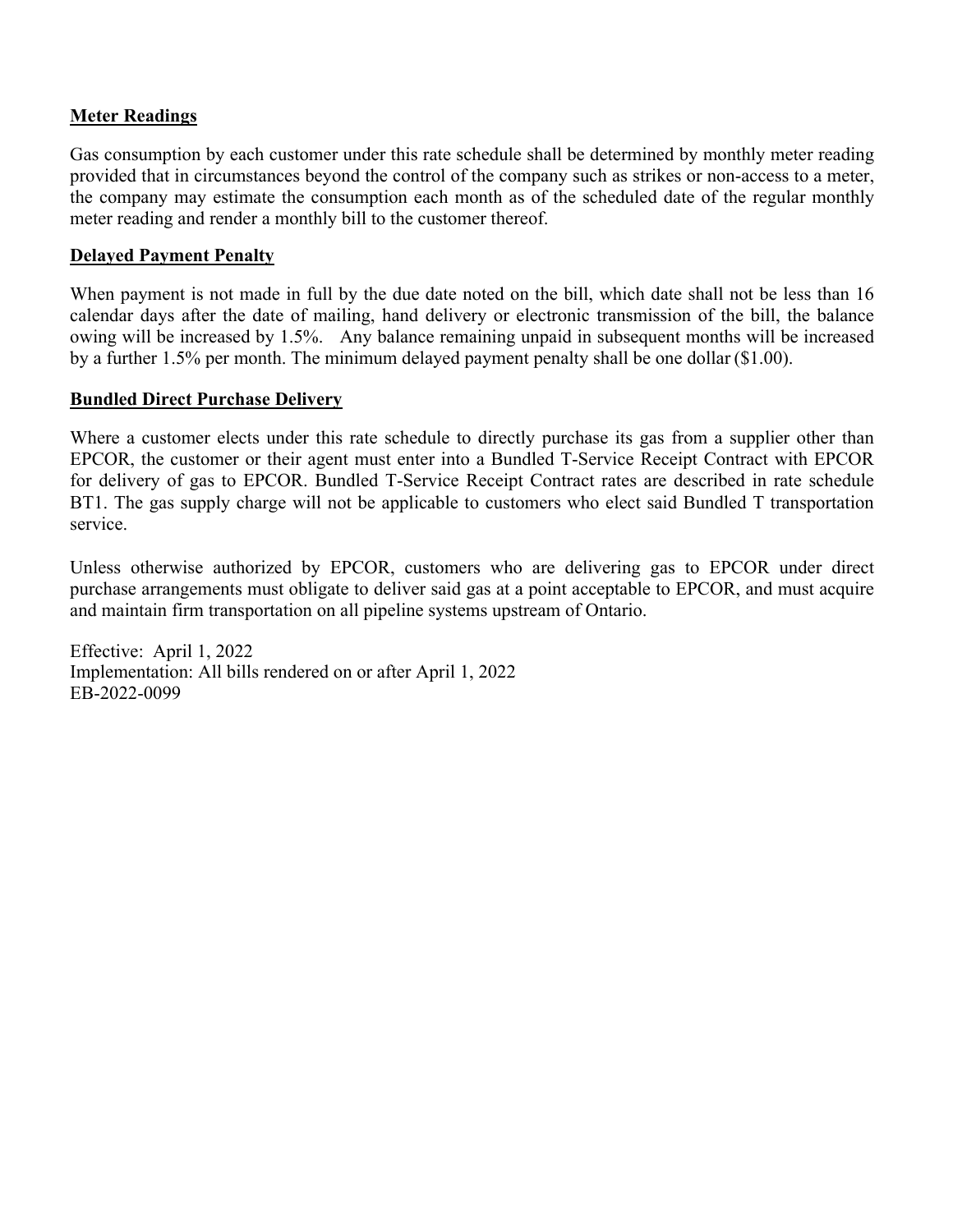### **Meter Readings**

Gas consumption by each customer under this rate schedule shall be determined by monthly meter reading provided that in circumstances beyond the control of the company such as strikes or non-access to a meter, the company may estimate the consumption each month as of the scheduled date of the regular monthly meter reading and render a monthly bill to the customer thereof.

### **Delayed Payment Penalty**

When payment is not made in full by the due date noted on the bill, which date shall not be less than 16 calendar days after the date of mailing, hand delivery or electronic transmission of the bill, the balance owing will be increased by 1.5%. Any balance remaining unpaid in subsequent months will be increased by a further 1.5% per month. The minimum delayed payment penalty shall be one dollar (\$1.00).

#### **Bundled Direct Purchase Delivery**

Where a customer elects under this rate schedule to directly purchase its gas from a supplier other than EPCOR, the customer or their agent must enter into a Bundled T-Service Receipt Contract with EPCOR for delivery of gas to EPCOR. Bundled T-Service Receipt Contract rates are described in rate schedule BT1. The gas supply charge will not be applicable to customers who elect said Bundled T transportation service.

Unless otherwise authorized by EPCOR, customers who are delivering gas to EPCOR under direct purchase arrangements must obligate to deliver said gas at a point acceptable to EPCOR, and must acquire and maintain firm transportation on all pipeline systems upstream of Ontario.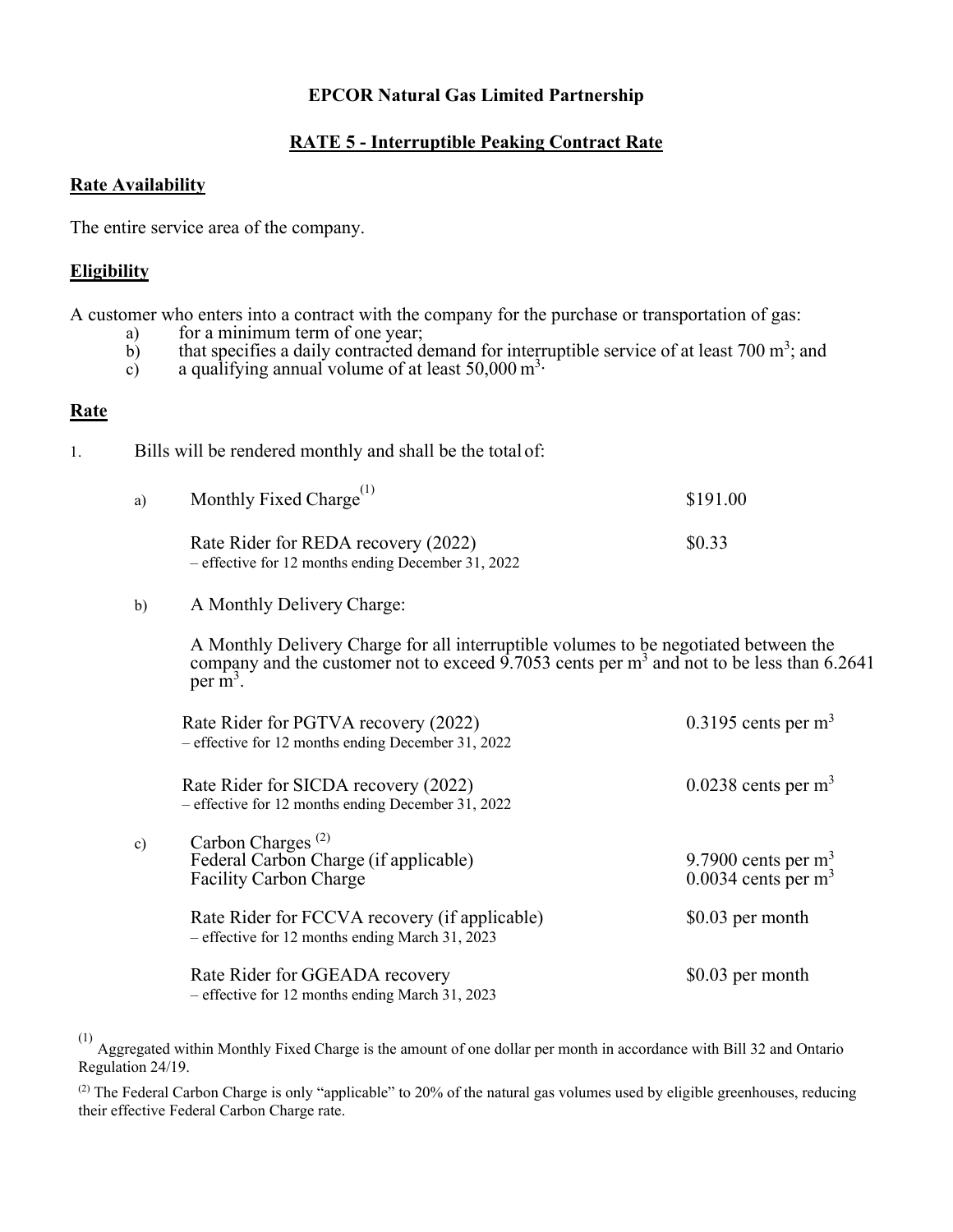#### **RATE 5 - Interruptible Peaking Contract Rate**

#### **Rate Availability**

The entire service area of the company.

#### **Eligibility**

A customer who enters into a contract with the company for the purchase or transportation of gas:

- a) for a minimum term of one year;<br>b) that specifies a daily contracted d
- b) that specifies a daily contracted demand for interruptible service of at least 700  $m^3$ ; and
- c) a qualifying annual volume of at least  $50,000 \text{ m}^3$ .

#### **Rate**

| Ι. |  |  |  |  | Bills will be rendered monthly and shall be the total of: |
|----|--|--|--|--|-----------------------------------------------------------|
|----|--|--|--|--|-----------------------------------------------------------|

| a) | Monthly Fixed Charge <sup>(1)</sup>                                                         | \$191.00 |
|----|---------------------------------------------------------------------------------------------|----------|
|    | Rate Rider for REDA recovery (2022)<br>$-$ effective for 12 months ending December 31, 2022 | \$0.33   |

b) A Monthly Delivery Charge:

A Monthly Delivery Charge for all interruptible volumes to be negotiated between the company and the customer not to exceed 9.7053 cents per  $m<sup>3</sup>$  and not to be less than 6.2641 per  $\mathbf{m}^3$ .

|    | Rate Rider for PGTVA recovery (2022)<br>- effective for 12 months ending December 31, 2022       | $0.3195$ cents per m <sup>3</sup>           |
|----|--------------------------------------------------------------------------------------------------|---------------------------------------------|
|    | Rate Rider for SICDA recovery (2022)<br>- effective for 12 months ending December 31, 2022       | $0.0238$ cents per m <sup>3</sup>           |
| c) | Carbon Charges <sup>(2)</sup><br>Federal Carbon Charge (if applicable)<br>Facility Carbon Charge | 9.7900 cents per $m3$ 0.0034 cents per $m3$ |
|    | Rate Rider for FCCVA recovery (if applicable)<br>- effective for 12 months ending March 31, 2023 | \$0.03 per month                            |
|    | Rate Rider for GGEADA recovery<br>- effective for 12 months ending March 31, 2023                | \$0.03 per month                            |

 $(1)$  Aggregated within Monthly Fixed Charge is the amount of one dollar per month in accordance with Bill 32 and Ontario Regulation 24/19.

 $^{(2)}$  The Federal Carbon Charge is only "applicable" to 20% of the natural gas volumes used by eligible greenhouses, reducing their effective Federal Carbon Charge rate.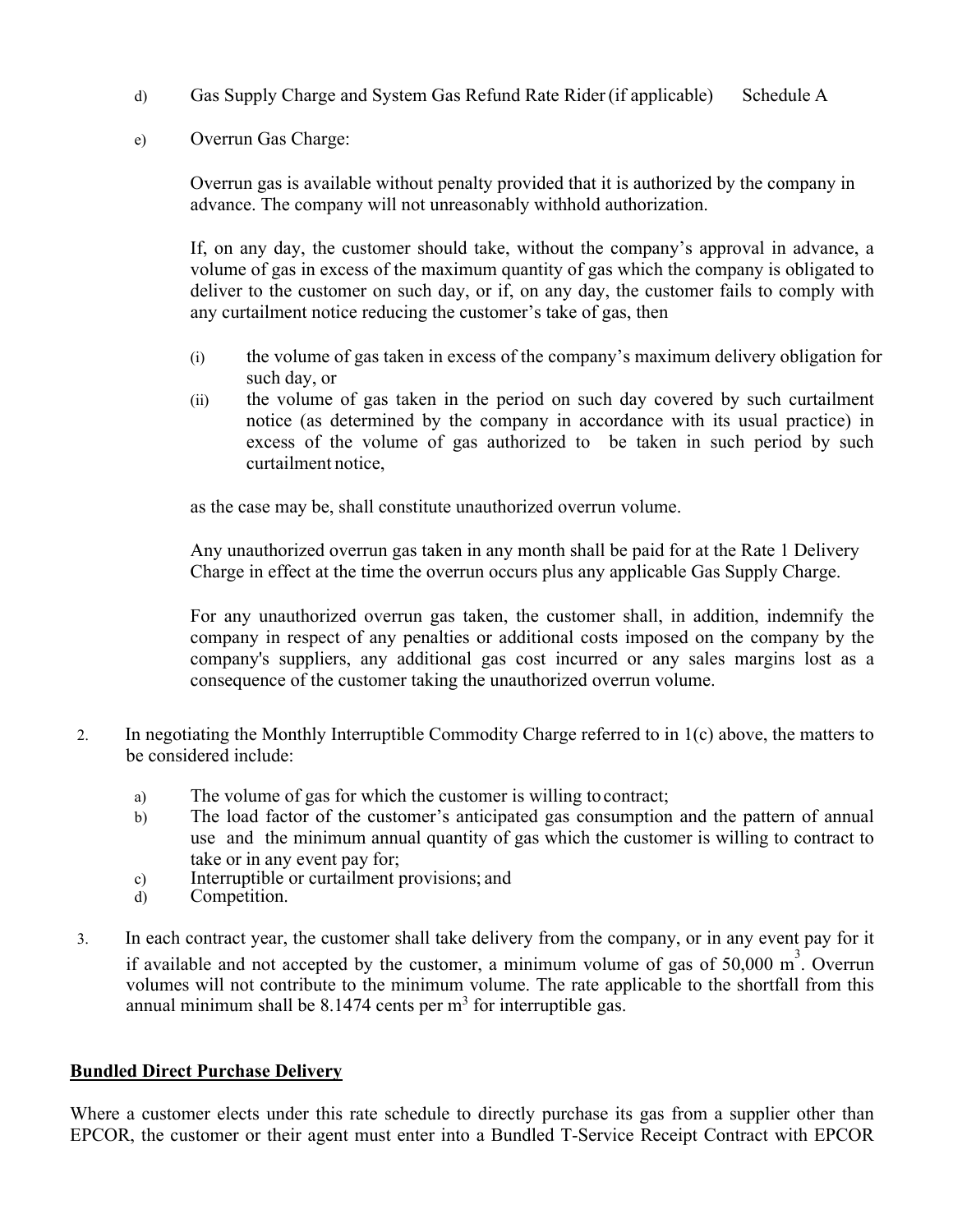- d) Gas Supply Charge and System Gas Refund Rate Rider (if applicable) Schedule A
- e) Overrun Gas Charge:

Overrun gas is available without penalty provided that it is authorized by the company in advance. The company will not unreasonably withhold authorization.

If, on any day, the customer should take, without the company's approval in advance, a volume of gas in excess of the maximum quantity of gas which the company is obligated to deliver to the customer on such day, or if, on any day, the customer fails to comply with any curtailment notice reducing the customer's take of gas, then

- (i) the volume of gas taken in excess of the company's maximum delivery obligation for such day, or
- (ii) the volume of gas taken in the period on such day covered by such curtailment notice (as determined by the company in accordance with its usual practice) in excess of the volume of gas authorized to be taken in such period by such curtailment notice,

as the case may be, shall constitute unauthorized overrun volume.

Any unauthorized overrun gas taken in any month shall be paid for at the Rate 1 Delivery Charge in effect at the time the overrun occurs plus any applicable Gas Supply Charge.

For any unauthorized overrun gas taken, the customer shall, in addition, indemnify the company in respect of any penalties or additional costs imposed on the company by the company's suppliers, any additional gas cost incurred or any sales margins lost as a consequence of the customer taking the unauthorized overrun volume.

- 2. In negotiating the Monthly Interruptible Commodity Charge referred to in 1(c) above, the matters to be considered include:
	- a) The volume of gas for which the customer is willing to contract;
	- b) The load factor of the customer's anticipated gas consumption and the pattern of annual use and the minimum annual quantity of gas which the customer is willing to contract to take or in any event pay for;
	- c) Interruptible or curtailment provisions; and
	- d) Competition.
- 3. In each contract year, the customer shall take delivery from the company, or in any event pay for it if available and not accepted by the customer, a minimum volume of gas of  $50,000 \text{ m}^3$ . Overrun volumes will not contribute to the minimum volume. The rate applicable to the shortfall from this annual minimum shall be  $8.1474$  cents per m<sup>3</sup> for interruptible gas.

#### **Bundled Direct Purchase Delivery**

Where a customer elects under this rate schedule to directly purchase its gas from a supplier other than EPCOR, the customer or their agent must enter into a Bundled T-Service Receipt Contract with EPCOR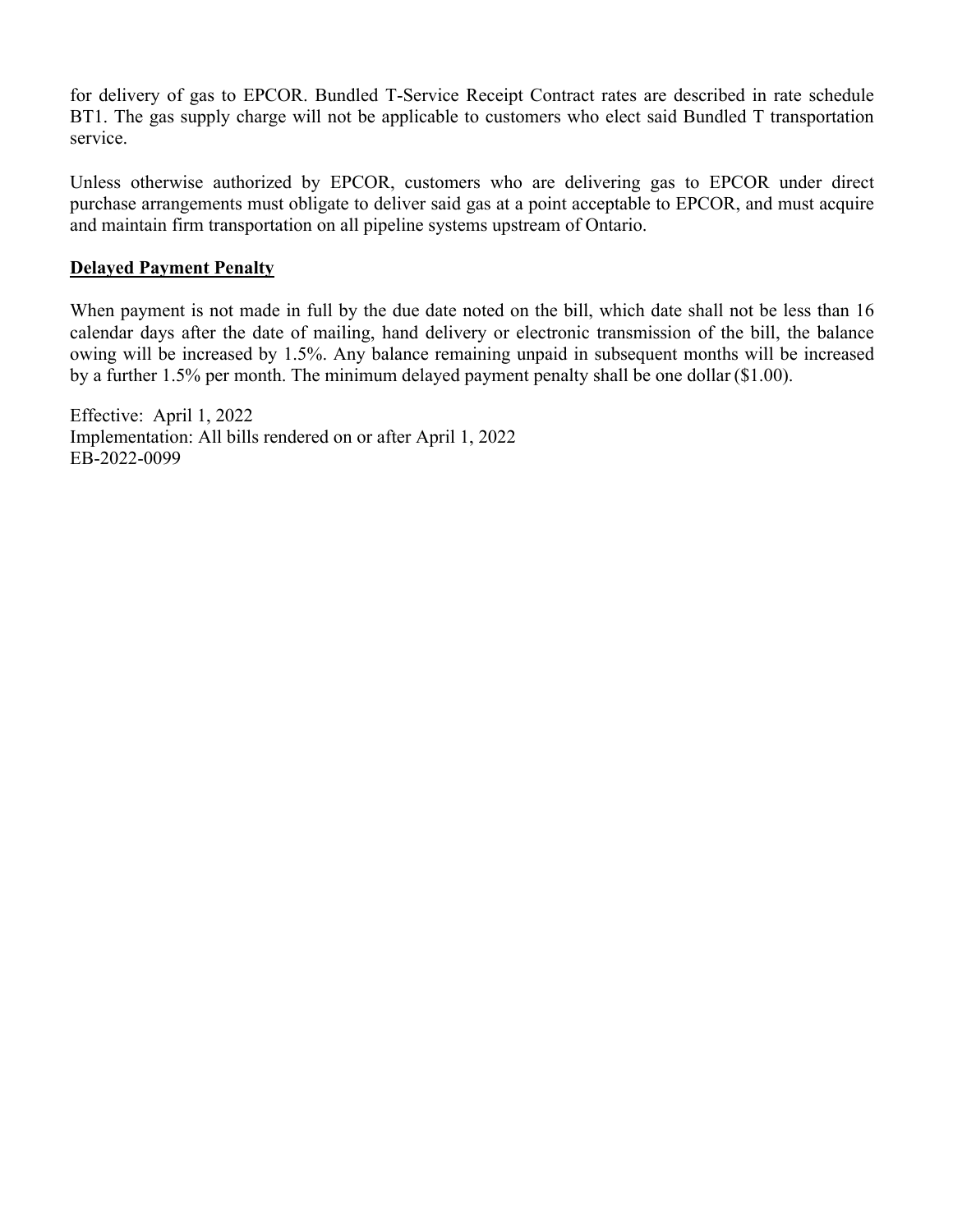for delivery of gas to EPCOR. Bundled T-Service Receipt Contract rates are described in rate schedule BT1. The gas supply charge will not be applicable to customers who elect said Bundled T transportation service.

Unless otherwise authorized by EPCOR, customers who are delivering gas to EPCOR under direct purchase arrangements must obligate to deliver said gas at a point acceptable to EPCOR, and must acquire and maintain firm transportation on all pipeline systems upstream of Ontario.

#### **Delayed Payment Penalty**

When payment is not made in full by the due date noted on the bill, which date shall not be less than 16 calendar days after the date of mailing, hand delivery or electronic transmission of the bill, the balance owing will be increased by 1.5%. Any balance remaining unpaid in subsequent months will be increased by a further 1.5% per month. The minimum delayed payment penalty shall be one dollar (\$1.00).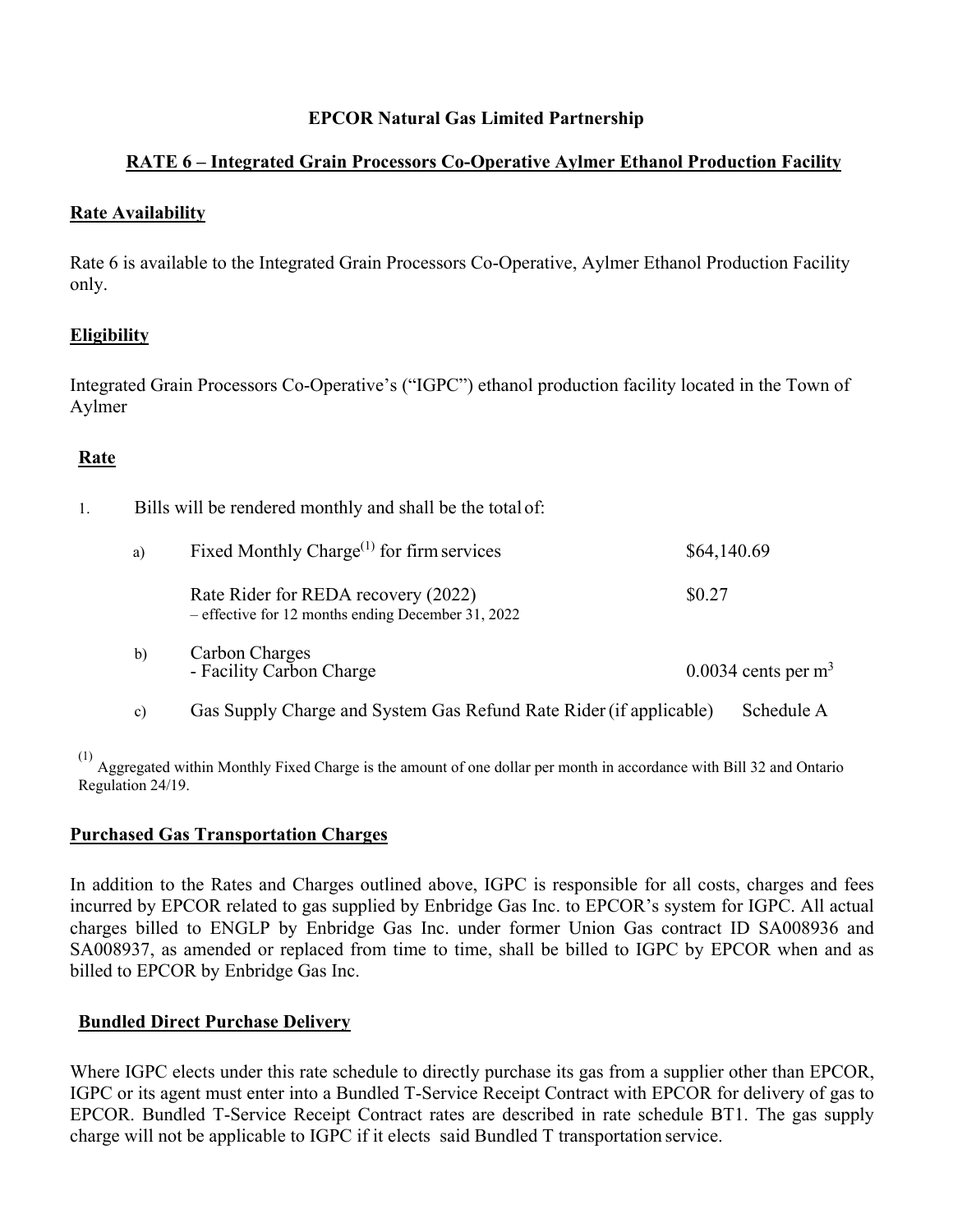# **RATE 6 – Integrated Grain Processors Co-Operative Aylmer Ethanol Production Facility**

### **Rate Availability**

Rate 6 is available to the Integrated Grain Processors Co-Operative, Aylmer Ethanol Production Facility only.

### **Eligibility**

Integrated Grain Processors Co-Operative's ("IGPC") ethanol production facility located in the Town of Aylmer

# **Rate**

| 1. |              | Bills will be rendered monthly and shall be the total of:                                 |             |                                   |  |  |
|----|--------------|-------------------------------------------------------------------------------------------|-------------|-----------------------------------|--|--|
|    | a)           | Fixed Monthly Charge <sup><math>(1)</math></sup> for firm services                        | \$64,140.69 |                                   |  |  |
|    |              | Rate Rider for REDA recovery (2022)<br>- effective for 12 months ending December 31, 2022 | \$0.27      |                                   |  |  |
|    | $\mathbf{b}$ | Carbon Charges<br>- Facility Carbon Charge                                                |             | $0.0034$ cents per m <sup>3</sup> |  |  |
|    | c)           | Gas Supply Charge and System Gas Refund Rate Rider (if applicable)                        |             | Schedule A                        |  |  |

Aggregated within Monthly Fixed Charge is the amount of one dollar per month in accordance with Bill 32 and Ontario Regulation 24/19.

### **Purchased Gas Transportation Charges**

In addition to the Rates and Charges outlined above, IGPC is responsible for all costs, charges and fees incurred by EPCOR related to gas supplied by Enbridge Gas Inc. to EPCOR's system for IGPC. All actual charges billed to ENGLP by Enbridge Gas Inc. under former Union Gas contract ID SA008936 and SA008937, as amended or replaced from time to time, shall be billed to IGPC by EPCOR when and as billed to EPCOR by Enbridge Gas Inc.

### **Bundled Direct Purchase Delivery**

Where IGPC elects under this rate schedule to directly purchase its gas from a supplier other than EPCOR, IGPC or its agent must enter into a Bundled T-Service Receipt Contract with EPCOR for delivery of gas to EPCOR. Bundled T-Service Receipt Contract rates are described in rate schedule BT1. The gas supply charge will not be applicable to IGPC if it elects said Bundled T transportation service.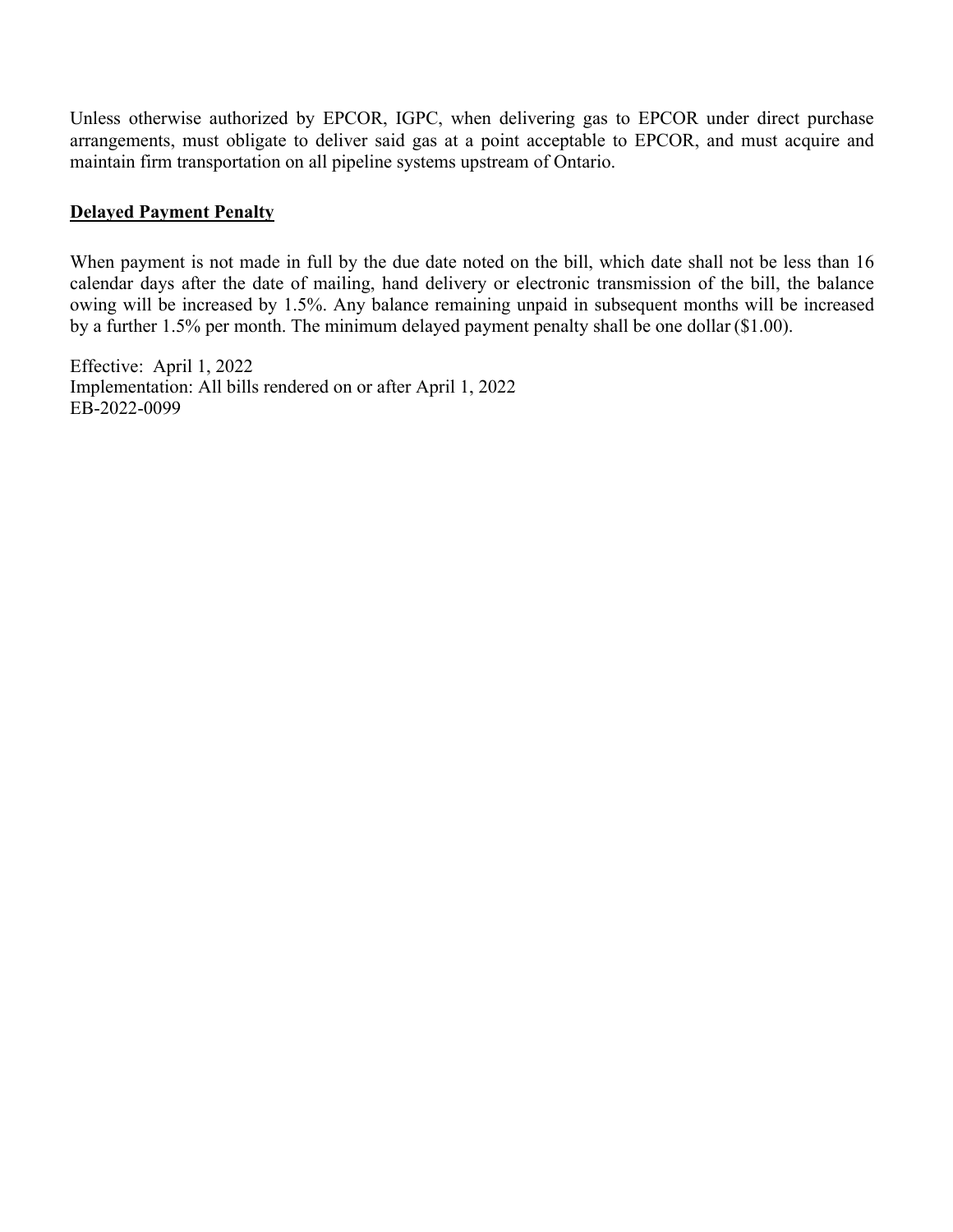Unless otherwise authorized by EPCOR, IGPC, when delivering gas to EPCOR under direct purchase arrangements, must obligate to deliver said gas at a point acceptable to EPCOR, and must acquire and maintain firm transportation on all pipeline systems upstream of Ontario.

#### **Delayed Payment Penalty**

When payment is not made in full by the due date noted on the bill, which date shall not be less than 16 calendar days after the date of mailing, hand delivery or electronic transmission of the bill, the balance owing will be increased by 1.5%. Any balance remaining unpaid in subsequent months will be increased by a further 1.5% per month. The minimum delayed payment penalty shall be one dollar (\$1.00).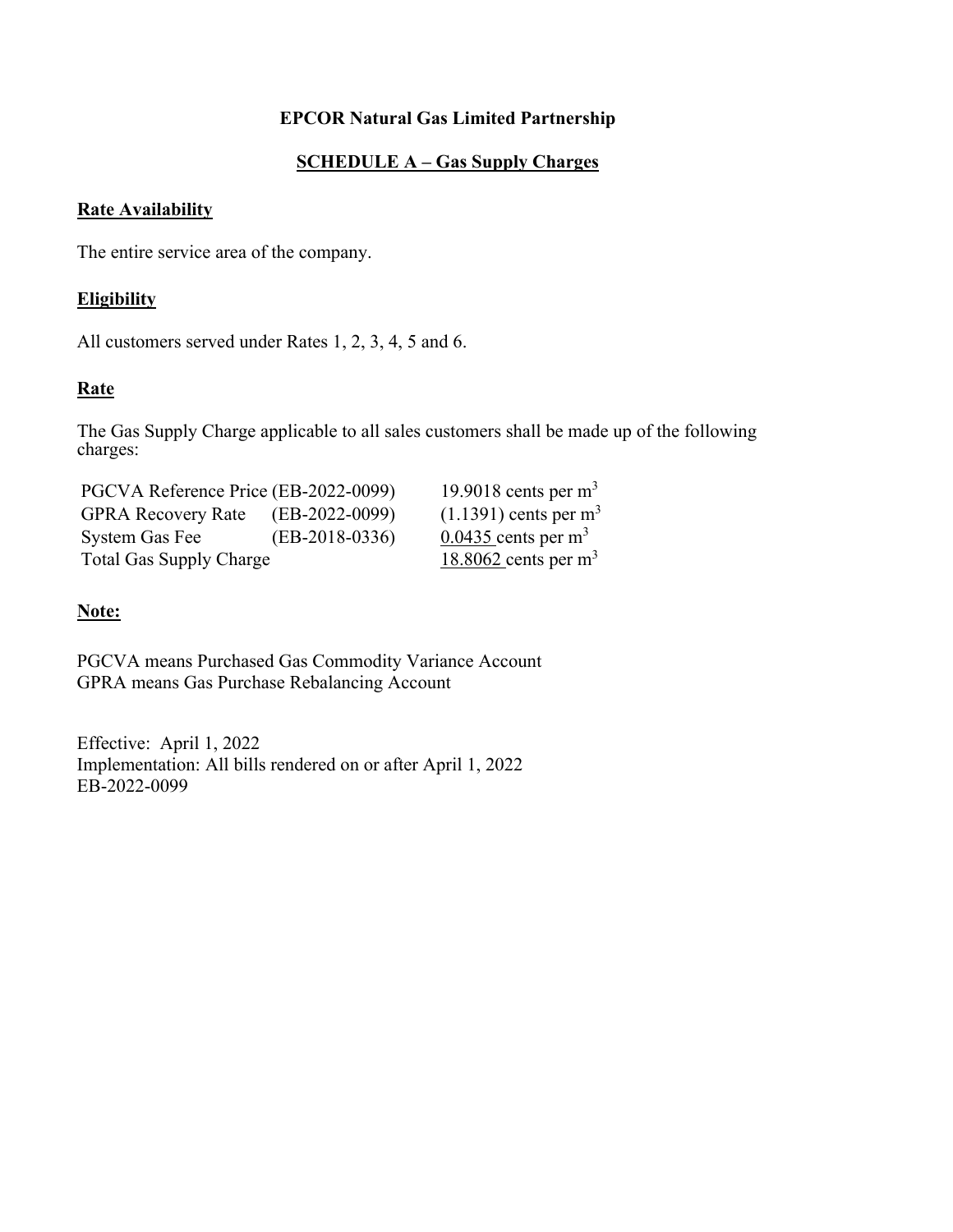# **SCHEDULE A – Gas Supply Charges**

#### **Rate Availability**

The entire service area of the company.

#### **Eligibility**

All customers served under Rates 1, 2, 3, 4, 5 and 6.

### **Rate**

The Gas Supply Charge applicable to all sales customers shall be made up of the following charges:

PGCVA Reference Price (EB-2022-0099) 19.9018 cents per m<sup>3</sup> GPRA Recovery Rate  $(EB-2022-0099)$   $(1.1391)$  cents per m<sup>3</sup> System Gas Fee  $\qquad$  (EB-2018-0336)  $0.0435$  cents per m<sup>3</sup> Total Gas Supply Charge 18.8062 cents per m<sup>3</sup>

#### **Note:**

PGCVA means Purchased Gas Commodity Variance Account GPRA means Gas Purchase Rebalancing Account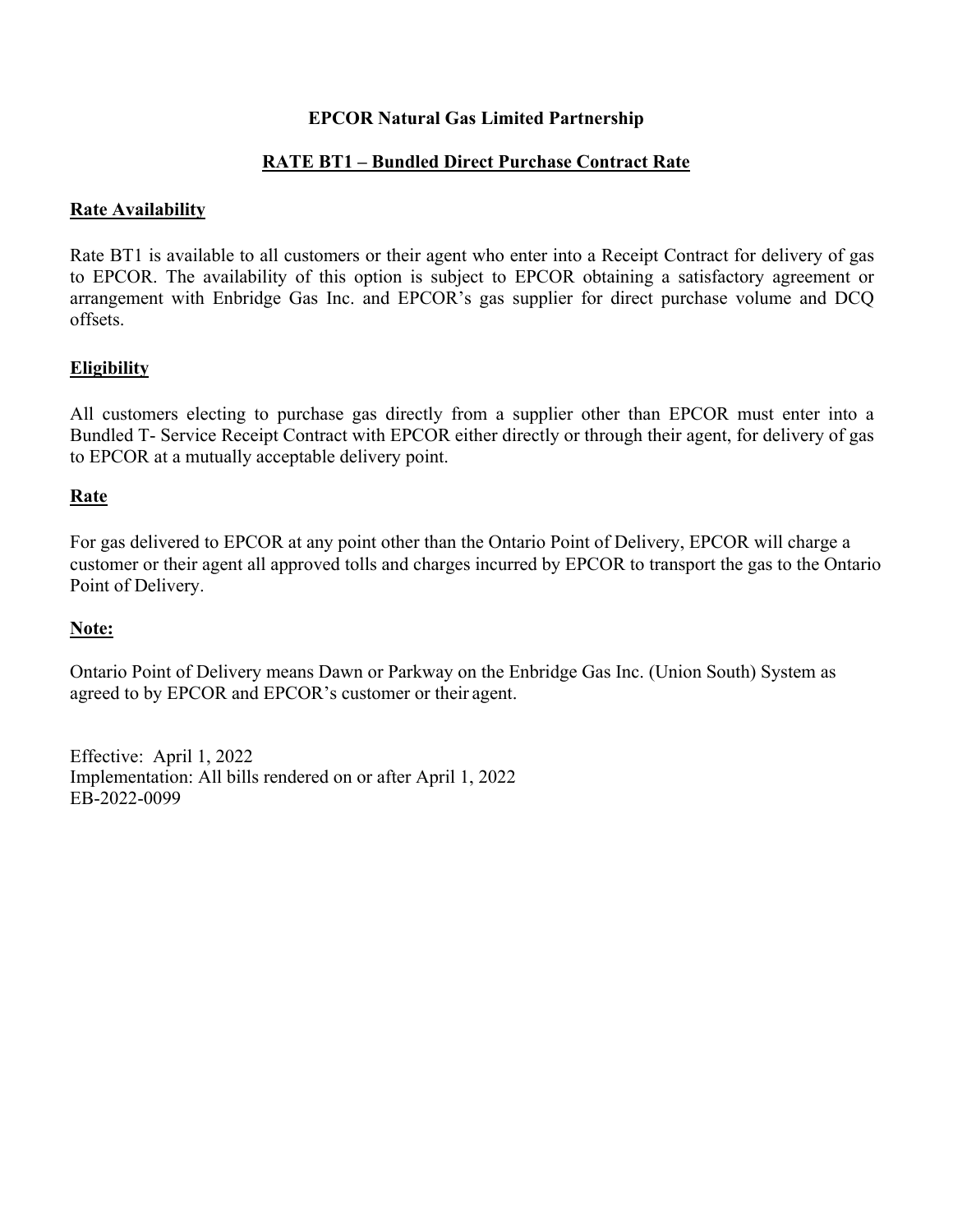# **RATE BT1 – Bundled Direct Purchase Contract Rate**

#### **Rate Availability**

Rate BT1 is available to all customers or their agent who enter into a Receipt Contract for delivery of gas to EPCOR. The availability of this option is subject to EPCOR obtaining a satisfactory agreement or arrangement with Enbridge Gas Inc. and EPCOR's gas supplier for direct purchase volume and DCQ offsets.

### **Eligibility**

All customers electing to purchase gas directly from a supplier other than EPCOR must enter into a Bundled T- Service Receipt Contract with EPCOR either directly or through their agent, for delivery of gas to EPCOR at a mutually acceptable delivery point.

### **Rate**

For gas delivered to EPCOR at any point other than the Ontario Point of Delivery, EPCOR will charge a customer or their agent all approved tolls and charges incurred by EPCOR to transport the gas to the Ontario Point of Delivery.

#### **Note:**

Ontario Point of Delivery means Dawn or Parkway on the Enbridge Gas Inc. (Union South) System as agreed to by EPCOR and EPCOR's customer or their agent.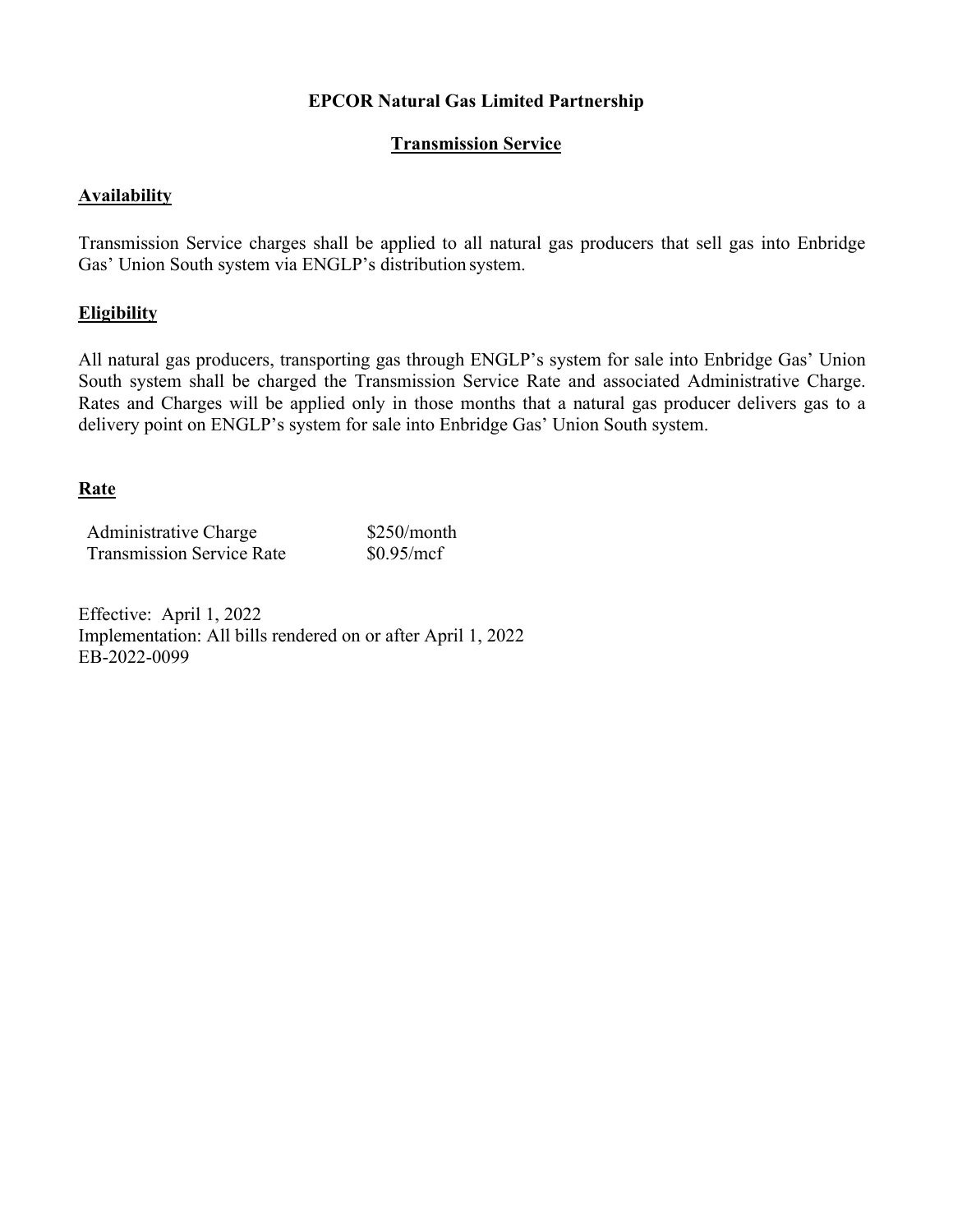### **Transmission Service**

#### **Availability**

Transmission Service charges shall be applied to all natural gas producers that sell gas into Enbridge Gas' Union South system via ENGLP's distribution system.

#### **Eligibility**

All natural gas producers, transporting gas through ENGLP's system for sale into Enbridge Gas' Union South system shall be charged the Transmission Service Rate and associated Administrative Charge. Rates and Charges will be applied only in those months that a natural gas producer delivers gas to a delivery point on ENGLP's system for sale into Enbridge Gas' Union South system.

#### **Rate**

| Administrative Charge            | $$250/m$ onth |
|----------------------------------|---------------|
| <b>Transmission Service Rate</b> | \$0.95/mcf    |